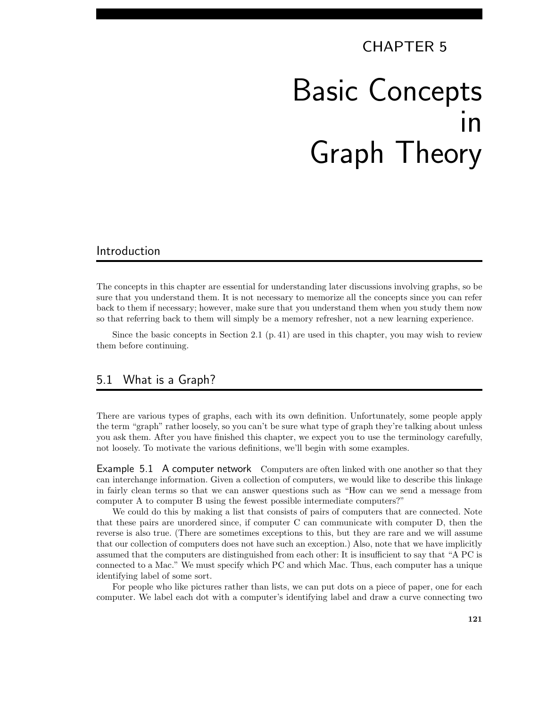## CHAPTER 5

# Basic Concepts in Graph Theory

## Introduction

The concepts in this chapter are essential for understanding later discussions involving graphs, so be sure that you understand them. It is not necessary to memorize all the concepts since you can refer back to them if necessary; however, make sure that you understand them when you study them now so that referring back to them will simply be a memory refresher, not a new learning experience.

Since the basic concepts in Section 2.1 (p. 41) are used in this chapter, you may wish to review them before continuing.

## 5.1 What is a Graph?

There are various types of graphs, each with its own definition. Unfortunately, some people apply the term "graph" rather loosely, so you can't be sure what type of graph they're talking about unless you ask them. After you have finished this chapter, we expect you to use the terminology carefully, not loosely. To motivate the various definitions, we'll begin with some examples.

Example 5.1 A computer network Computers are often linked with one another so that they can interchange information. Given a collection of computers, we would like to describe this linkage in fairly clean terms so that we can answer questions such as "How can we send a message from computer A to computer B using the fewest possible intermediate computers?"

We could do this by making a list that consists of pairs of computers that are connected. Note that these pairs are unordered since, if computer C can communicate with computer D, then the reverse is also true. (There are sometimes exceptions to this, but they are rare and we will assume that our collection of computers does not have such an exception.) Also, note that we have implicitly assumed that the computers are distinguished from each other: It is insufficient to say that "A PC is connected to a Mac." We must specify which PC and which Mac. Thus, each computer has a unique identifying label of some sort.

For people who like pictures rather than lists, we can put dots on a piece of paper, one for each computer. We label each dot with a computer's identifying label and draw a curve connecting two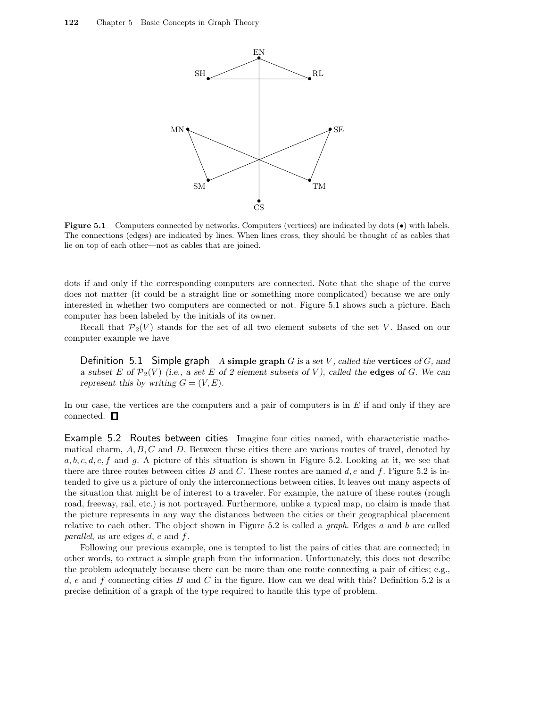

Figure 5.1 Computers connected by networks. Computers (vertices) are indicated by dots ( $\bullet$ ) with labels. The connections (edges) are indicated by lines. When lines cross, they should be thought of as cables that lie on top of each other—not as cables that are joined.

dots if and only if the corresponding computers are connected. Note that the shape of the curve does not matter (it could be a straight line or something more complicated) because we are only interested in whether two computers are connected or not. Figure 5.1 shows such a picture. Each computer has been labeled by the initials of its owner.

Recall that  $\mathcal{P}_2(V)$  stands for the set of all two element subsets of the set V. Based on our computer example we have

Definition 5.1 Simple graph A simple graph G is a set V, called the vertices of G, and a subset E of  $\mathcal{P}_2(V)$  (i.e., a set E of 2 element subsets of V), called the **edges** of G. We can represent this by writing  $G = (V, E)$ .

In our case, the vertices are the computers and a pair of computers is in  $E$  if and only if they are connected.  $\square$ 

Example 5.2 Routes between cities Imagine four cities named, with characteristic mathematical charm,  $A, B, C$  and  $D$ . Between these cities there are various routes of travel, denoted by  $a, b, c, d, e, f$  and g. A picture of this situation is shown in Figure 5.2. Looking at it, we see that there are three routes between cities B and C. These routes are named  $d, e$  and f. Figure 5.2 is intended to give us a picture of only the interconnections between cities. It leaves out many aspects of the situation that might be of interest to a traveler. For example, the nature of these routes (rough road, freeway, rail, etc.) is not portrayed. Furthermore, unlike a typical map, no claim is made that the picture represents in any way the distances between the cities or their geographical placement relative to each other. The object shown in Figure 5.2 is called a *graph*. Edges  $a$  and  $b$  are called parallel, as are edges  $d$ ,  $e$  and  $f$ .

Following our previous example, one is tempted to list the pairs of cities that are connected; in other words, to extract a simple graph from the information. Unfortunately, this does not describe the problem adequately because there can be more than one route connecting a pair of cities; e.g., d, e and f connecting cities B and C in the figure. How can we deal with this? Definition 5.2 is a precise definition of a graph of the type required to handle this type of problem.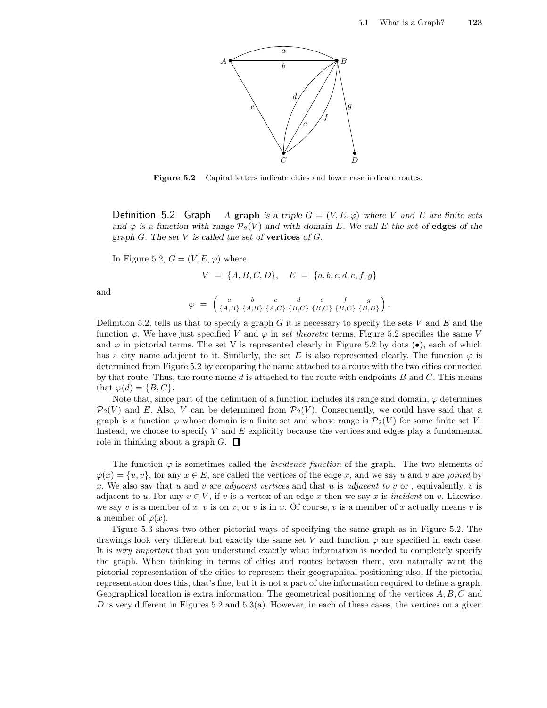

Figure 5.2 Capital letters indicate cities and lower case indicate routes.

**Definition 5.2 Graph** A graph is a triple  $G = (V, E, \varphi)$  where V and E are finite sets and  $\varphi$  is a function with range  $\mathcal{P}_2(V)$  and with domain E. We call E the set of **edges** of the graph  $G$ . The set  $V$  is called the set of vertices of  $G$ .

In Figure 5.2,  $G = (V, E, \varphi)$  where

 $V = \{A, B, C, D\}, E = \{a, b, c, d, e, f, g\}$ 

and

$$
\varphi \,\,=\,\, \left(\begin{array}{cccc} a & b & c & d & e & f & g \\ \{A,B\} & \{A,B\} & \{A,C\} & \{B,C\} & \{B,C\} & \{B,C\} \end{array}\right).
$$

Definition 5.2, tells us that to specify a graph  $G$  it is necessary to specify the sets V and E and the function  $\varphi$ . We have just specified V and  $\varphi$  in set theoretic terms. Figure 5.2 specifies the same V and  $\varphi$  in pictorial terms. The set V is represented clearly in Figure 5.2 by dots ( $\bullet$ ), each of which has a city name adajcent to it. Similarly, the set E is also represented clearly. The function  $\varphi$  is determined from Figure 5.2 by comparing the name attached to a route with the two cities connected by that route. Thus, the route name  $d$  is attached to the route with endpoints  $B$  and  $C$ . This means that  $\varphi(d) = \{B, C\}.$ 

Note that, since part of the definition of a function includes its range and domain,  $\varphi$  determines  $\mathcal{P}_2(V)$  and E. Also, V can be determined from  $\mathcal{P}_2(V)$ . Consequently, we could have said that a graph is a function  $\varphi$  whose domain is a finite set and whose range is  $\mathcal{P}_2(V)$  for some finite set V. Instead, we choose to specify  $V$  and  $E$  explicitly because the vertices and edges play a fundamental role in thinking about a graph  $G$ .  $\Box$ 

The function  $\varphi$  is sometimes called the *incidence function* of the graph. The two elements of  $\varphi(x) = \{u, v\}$ , for any  $x \in E$ , are called the vertices of the edge x, and we say u and v are joined by x. We also say that u and v are *adjacent vertices* and that u is *adjacent to v* or, equivalently, v is adjacent to u. For any  $v \in V$ , if v is a vertex of an edge x then we say x is incident on v. Likewise, we say v is a member of x, v is on x, or v is in x. Of course, v is a member of x actually means v is a member of  $\varphi(x)$ .

Figure 5.3 shows two other pictorial ways of specifying the same graph as in Figure 5.2. The drawings look very different but exactly the same set V and function  $\varphi$  are specified in each case. It is very important that you understand exactly what information is needed to completely specify the graph. When thinking in terms of cities and routes between them, you naturally want the pictorial representation of the cities to represent their geographical positioning also. If the pictorial representation does this, that's fine, but it is not a part of the information required to define a graph. Geographical location is extra information. The geometrical positioning of the vertices  $A, B, C$  and D is very different in Figures 5.2 and 5.3(a). However, in each of these cases, the vertices on a given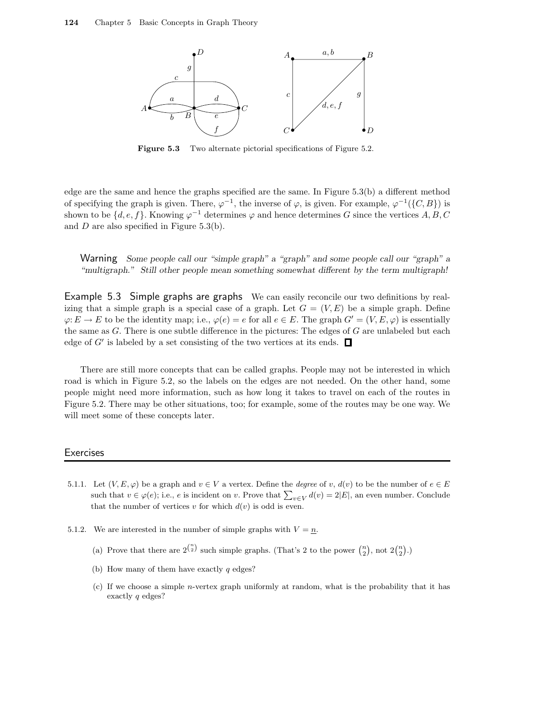

Figure 5.3 Two alternate pictorial specifications of Figure 5.2.

edge are the same and hence the graphs specified are the same. In Figure 5.3(b) a different method of specifying the graph is given. There,  $\varphi^{-1}$ , the inverse of  $\varphi$ , is given. For example,  $\varphi^{-1}(\{C, B\})$  is shown to be  $\{d, e, f\}$ . Knowing  $\varphi^{-1}$  determines  $\varphi$  and hence determines G since the vertices  $A, B, C$ and  $D$  are also specified in Figure 5.3(b).

Warning Some people call our "simple graph" a "graph" and some people call our "graph" a "multigraph." Still other people mean something somewhat different by the term multigraph!

Example 5.3 Simple graphs are graphs We can easily reconcile our two definitions by realizing that a simple graph is a special case of a graph. Let  $G = (V, E)$  be a simple graph. Define  $\varphi: E \to E$  to be the identity map; i.e.,  $\varphi(e) = e$  for all  $e \in E$ . The graph  $G' = (V, E, \varphi)$  is essentially the same as  $G$ . There is one subtle difference in the pictures: The edges of  $G$  are unlabeled but each edge of  $G'$  is labeled by a set consisting of the two vertices at its ends.

There are still more concepts that can be called graphs. People may not be interested in which road is which in Figure 5.2, so the labels on the edges are not needed. On the other hand, some people might need more information, such as how long it takes to travel on each of the routes in Figure 5.2. There may be other situations, too; for example, some of the routes may be one way. We will meet some of these concepts later.

#### **Exercises**

- 5.1.1. Let  $(V, E, \varphi)$  be a graph and  $v \in V$  a vertex. Define the *degree* of v,  $d(v)$  to be the number of  $e \in E$ such that  $v \in \varphi(e)$ ; i.e., e is incident on v. Prove that  $\sum_{v \in V} d(v) = 2|E|$ , an even number. Conclude that the number of vertices  $v$  for which  $d(v)$  is odd is even.
- 5.1.2. We are interested in the number of simple graphs with  $V = n$ .
	- (a) Prove that there are  $2^{\binom{n}{2}}$  such simple graphs. (That's 2 to the power  $\binom{n}{2}$ , not  $2\binom{n}{2}$ .)
	- (b) How many of them have exactly  $q$  edges?
	- $(c)$  If we choose a simple *n*-vertex graph uniformly at random, what is the probability that it has exactly q edges?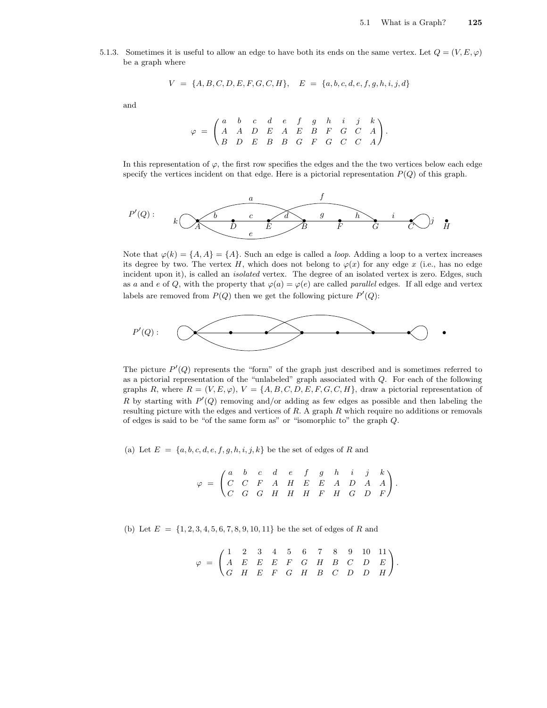.

5.1.3. Sometimes it is useful to allow an edge to have both its ends on the same vertex. Let  $Q = (V, E, \varphi)$ be a graph where

$$
V = \{A, B, C, D, E, F, G, C, H\}, \quad E = \{a, b, c, d, e, f, g, h, i, j, d\}
$$

and

$$
\varphi = \begin{pmatrix} a & b & c & d & e & f & g & h & i & j & k \\ A & A & D & E & A & E & B & F & G & C & A \\ B & D & E & B & B & G & F & G & C & C & A \end{pmatrix}
$$

In this representation of  $\varphi$ , the first row specifies the edges and the the two vertices below each edge specify the vertices incident on that edge. Here is a pictorial representation  $P(Q)$  of this graph.

$$
P'(Q): \qquad k \xrightarrow{\begin{array}{c}\n a \\
 b \\
 c \\
 e\n \end{array}\n \qquad\n \begin{array}{c}\n f \\
 \hline\n g \\
 \hline\n g \\
 \hline\n g \\
 \hline\n g \\
 \hline\n g \\
 \hline\n G\n \end{array}\n \qquad\n \begin{array}{c}\n \bullet \\
 \bullet \\
 \hline\n g \\
 \hline\n g \\
 \hline\n G\n \end{array}\n \qquad\n \begin{array}{c}\n \bullet \\
 \bullet \\
 \hline\n g \\
 \hline\n G\n \end{array}\n \qquad\n \begin{array}{c}\n \bullet \\
 \bullet \\
 \hline\n g \\
 \hline\n G\n \end{array}\n \qquad\n \begin{array}{c}\n \bullet \\
 \bullet \\
 \hline\n G\n \end{array}\n \qquad\n \begin{array}{c}\n \bullet \\
 \bullet \\
 \hline\n G\n \end{array}\n \qquad\n \begin{array}{c}\n \bullet \\
 \bullet \\
 \hline\n G\n \end{array}\n \qquad\n \begin{array}{c}\n \bullet \\
 \bullet \\
 \hline\n G\n \end{array}\n \qquad\n \begin{array}{c}\n \bullet \\
 \bullet \\
 \hline\n G\n \end{array}\n \qquad\n \begin{array}{c}\n \bullet \\
 \bullet \\
 \hline\n G\n \end{array}\n \qquad\n \begin{array}{c}\n \bullet \\
 \bullet \\
 \hline\n G\n \end{array}\n \qquad\n \begin{array}{c}\n \bullet \\
 \bullet \\
 \hline\n G\n \end{array}\n \qquad\n \begin{array}{c}\n \bullet \\
 \bullet \\
 \hline\n G\n \end{array}\n \qquad\n \begin{array}{c}\n \bullet \\
 \bullet \\
 \hline\n G\n \end{array}\n \qquad\n \begin{array}{c}\n \bullet \\
 \bullet \\
 \hline\n G\n \end{array}\n \qquad\n \begin{array}{c}\n \bullet \\
 \bullet \\
 \hline\n G\n \end{array}\n \qquad\n \begin{array}{c}\n \bullet \\
 \bullet \\
 \hline\n G\n \end{array}\n \qquad\n \begin{array}{c}\n \bullet \\
 \bullet \\
 \hline\n G\n \end{array}\n \qquad\n \begin{array}{c}\n \bullet \\
 \bullet \\
 \hline\n G\n \end{array}\n \qquad\n \begin{array}{c}\n \bullet \\
 \bullet \\
 \hline\n G\n \end{array}\n \qquad\n \begin{array}{c}\n \bullet \\
 \bullet \\
 \hline\n G\n \end{array}\n \qquad\n \begin{array}{c}\n \bullet \\
 \bullet \\
 \hline\n G\n \end{array}\n \qquad\n \begin{array}{c}\n \bullet \\
 \
$$

Note that  $\varphi(k) = \{A, A\} = \{A\}$ . Such an edge is called a *loop*. Adding a loop to a vertex increases its degree by two. The vertex H, which does not belong to  $\varphi(x)$  for any edge x (i.e., has no edge incident upon it), is called an isolated vertex. The degree of an isolated vertex is zero. Edges, such as a and e of Q, with the property that  $\varphi(a) = \varphi(e)$  are called parallel edges. If all edge and vertex labels are removed from  $P(Q)$  then we get the following picture  $P'(Q)$ :



The picture  $P'(Q)$  represents the "form" of the graph just described and is sometimes referred to as a pictorial representation of the "unlabeled" graph associated with Q. For each of the following graphs R, where  $R = (V, E, \varphi), V = \{A, B, C, D, E, F, G, C, H\}$ , draw a pictorial representation of R by starting with  $P'(Q)$  removing and/or adding as few edges as possible and then labeling the resulting picture with the edges and vertices of  $R$ . A graph  $R$  which require no additions or removals of edges is said to be "of the same form as" or "isomorphic to" the graph Q.

(a) Let  $E = \{a, b, c, d, e, f, g, h, i, j, k\}$  be the set of edges of R and

$$
\varphi \;=\; \begin{pmatrix} a & b & c & d & e & f & g & h & i & j & k \\ C & C & F & A & H & E & E & A & D & A & A \\ C & G & G & H & H & H & F & H & G & D & F \end{pmatrix}.
$$

(b) Let  $E = \{1, 2, 3, 4, 5, 6, 7, 8, 9, 10, 11\}$  be the set of edges of R and

$$
\varphi = \begin{pmatrix} 1 & 2 & 3 & 4 & 5 & 6 & 7 & 8 & 9 & 10 & 11 \\ A & E & E & E & F & G & H & B & C & D & E \\ G & H & E & F & G & H & B & C & D & D & H \end{pmatrix}.
$$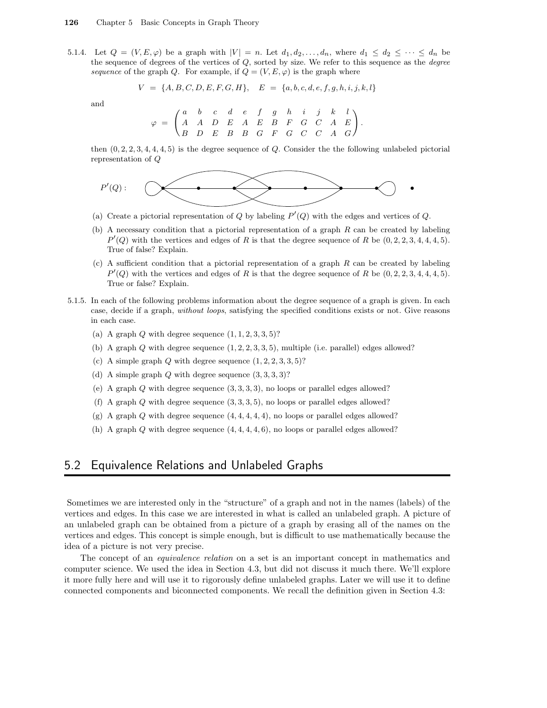5.1.4. Let  $Q = (V, E, \varphi)$  be a graph with  $|V| = n$ . Let  $d_1, d_2, \ldots, d_n$ , where  $d_1 \leq d_2 \leq \cdots \leq d_n$  be the sequence of degrees of the vertices of  $Q$ , sorted by size. We refer to this sequence as the *degree* sequence of the graph Q. For example, if  $Q = (V, E, \varphi)$  is the graph where

$$
V = \{A, B, C, D, E, F, G, H\}, \quad E = \{a, b, c, d, e, f, g, h, i, j, k, l\}
$$

and

$$
\varphi \;=\; \begin{pmatrix} a & b & c & d & e & f & g & h & i & j & k & l \\ A & A & D & E & A & E & B & F & G & C & A & E \\ B & D & E & B & B & G & F & G & C & C & A & G \end{pmatrix}.
$$

then  $(0, 2, 2, 3, 4, 4, 4, 5)$  is the degree sequence of Q. Consider the the following unlabeled pictorial representation of Q



- (a) Create a pictorial representation of Q by labeling  $P'(Q)$  with the edges and vertices of Q.
- (b) A necessary condition that a pictorial representation of a graph  $R$  can be created by labeling  $P'(Q)$  with the vertices and edges of R is that the degree sequence of R be  $(0, 2, 2, 3, 4, 4, 4, 5)$ . True of false? Explain.
- $(c)$  A sufficient condition that a pictorial representation of a graph R can be created by labeling  $P'(Q)$  with the vertices and edges of R is that the degree sequence of R be  $(0, 2, 2, 3, 4, 4, 4, 5)$ . True or false? Explain.
- 5.1.5. In each of the following problems information about the degree sequence of a graph is given. In each case, decide if a graph, without loops, satisfying the specified conditions exists or not. Give reasons in each case.
	- (a) A graph  $Q$  with degree sequence  $(1, 1, 2, 3, 3, 5)$ ?
	- (b) A graph  $Q$  with degree sequence  $(1, 2, 2, 3, 3, 5)$ , multiple (i.e. parallel) edges allowed?
	- (c) A simple graph  $Q$  with degree sequence  $(1, 2, 2, 3, 3, 5)$ ?
	- (d) A simple graph  $Q$  with degree sequence  $(3, 3, 3, 3)$ ?
	- (e) A graph  $Q$  with degree sequence  $(3, 3, 3, 3)$ , no loops or parallel edges allowed?
	- (f) A graph  $Q$  with degree sequence  $(3, 3, 3, 5)$ , no loops or parallel edges allowed?
	- (g) A graph  $Q$  with degree sequence  $(4, 4, 4, 4, 4)$ , no loops or parallel edges allowed?
	- (h) A graph  $Q$  with degree sequence  $(4, 4, 4, 4, 6)$ , no loops or parallel edges allowed?

## 5.2 Equivalence Relations and Unlabeled Graphs

Sometimes we are interested only in the "structure" of a graph and not in the names (labels) of the vertices and edges. In this case we are interested in what is called an unlabeled graph. A picture of an unlabeled graph can be obtained from a picture of a graph by erasing all of the names on the vertices and edges. This concept is simple enough, but is difficult to use mathematically because the idea of a picture is not very precise.

The concept of an *equivalence relation* on a set is an important concept in mathematics and computer science. We used the idea in Section 4.3, but did not discuss it much there. We'll explore it more fully here and will use it to rigorously define unlabeled graphs. Later we will use it to define connected components and biconnected components. We recall the definition given in Section 4.3: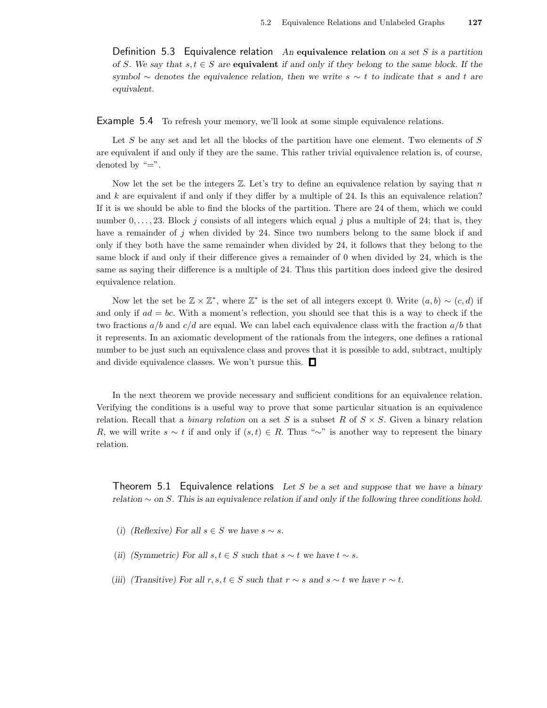Definition 5.3 Equivalence relation An equivalence relation on a set S is a partition of S. We say that  $s, t \in S$  are **equivalent** if and only if they belong to the same block. If the symbol ∼ denotes the equivalence relation, then we write  $s \sim t$  to indicate that s and t are equivalent.

Example 5.4 To refresh your memory, we'll look at some simple equivalence relations.

Let  $S$  be any set and let all the blocks of the partition have one element. Two elements of  $S$ are equivalent if and only if they are the same. This rather trivial equivalence relation is, of course, denoted by " $=$ ".

Now let the set be the integers  $\mathbb{Z}$ . Let's try to define an equivalence relation by saying that n and  $k$  are equivalent if and only if they differ by a multiple of 24. Is this an equivalence relation? If it is we should be able to find the blocks of the partition. There are 24 of them, which we could number  $0, \ldots, 23$ . Block j consists of all integers which equal j plus a multiple of 24; that is, they have a remainder of j when divided by 24. Since two numbers belong to the same block if and only if they both have the same remainder when divided by 24, it follows that they belong to the same block if and only if their difference gives a remainder of 0 when divided by 24, which is the same as saying their difference is a multiple of 24. Thus this partition does indeed give the desired equivalence relation.

Now let the set be  $\mathbb{Z} \times \mathbb{Z}^*$ , where  $\mathbb{Z}^*$  is the set of all integers except 0. Write  $(a, b) \sim (c, d)$  if and only if  $ad = bc$ . With a moment's reflection, you should see that this is a way to check if the two fractions  $a/b$  and  $c/d$  are equal. We can label each equivalence class with the fraction  $a/b$  that it represents. In an axiomatic development of the rationals from the integers, one defines a rational number to be just such an equivalence class and proves that it is possible to add, subtract, multiply and divide equivalence classes. We won't pursue this.  $\square$ 

In the next theorem we provide necessary and sufficient conditions for an equivalence relation. Verifying the conditions is a useful way to prove that some particular situation is an equivalence relation. Recall that a *binary relation* on a set S is a subset R of  $S \times S$ . Given a binary relation R, we will write  $s \sim t$  if and only if  $(s, t) \in R$ . Thus "∼" is another way to represent the binary relation.

Theorem 5.1 Equivalence relations Let S be a set and suppose that we have a binary relation  $\sim$  on S. This is an equivalence relation if and only if the following three conditions hold.

- (i) (Reflexive) For all  $s \in S$  we have  $s \sim s$ .
- (ii) (Symmetric) For all  $s, t \in S$  such that  $s \sim t$  we have  $t \sim s$ .
- (iii) (Transitive) For all  $r, s, t \in S$  such that  $r \sim s$  and  $s \sim t$  we have  $r \sim t$ .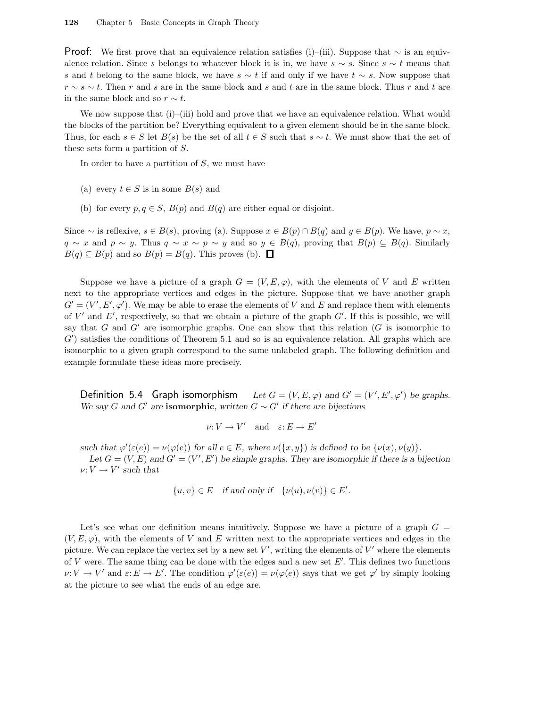**Proof:** We first prove that an equivalence relation satisfies (i)–(iii). Suppose that  $\sim$  is an equivalence relation. Since s belongs to whatever block it is in, we have  $s \sim s$ . Since  $s \sim t$  means that s and t belong to the same block, we have  $s \sim t$  if and only if we have  $t \sim s$ . Now suppose that  $r \sim s \sim t$ . Then r and s are in the same block and s and t are in the same block. Thus r and t are in the same block and so  $r \sim t$ .

We now suppose that (i)–(iii) hold and prove that we have an equivalence relation. What would the blocks of the partition be? Everything equivalent to a given element should be in the same block. Thus, for each  $s \in S$  let  $B(s)$  be the set of all  $t \in S$  such that  $s \sim t$ . We must show that the set of these sets form a partition of S.

In order to have a partition of  $S$ , we must have

- (a) every  $t \in S$  is in some  $B(s)$  and
- (b) for every  $p, q \in S$ ,  $B(p)$  and  $B(q)$  are either equal or disjoint.

Since  $\sim$  is reflexive,  $s \in B(s)$ , proving (a). Suppose  $x \in B(p) \cap B(q)$  and  $y \in B(p)$ . We have,  $p \sim x$ ,  $q \sim x$  and  $p \sim y$ . Thus  $q \sim x \sim p \sim y$  and so  $y \in B(q)$ , proving that  $B(p) \subset B(q)$ . Similarly  $B(q) \subseteq B(p)$  and so  $B(p) = B(q)$ . This proves (b).  $\Box$ 

Suppose we have a picture of a graph  $G = (V, E, \varphi)$ , with the elements of V and E written next to the appropriate vertices and edges in the picture. Suppose that we have another graph  $G' = (V', E', \varphi')$ . We may be able to erase the elements of V and E and replace them with elements of  $V'$  and  $E'$ , respectively, so that we obtain a picture of the graph  $G'$ . If this is possible, we will say that G and G' are isomorphic graphs. One can show that this relation  $(G$  is isomorphic to  $G'$ ) satisfies the conditions of Theorem 5.1 and so is an equivalence relation. All graphs which are isomorphic to a given graph correspond to the same unlabeled graph. The following definition and example formulate these ideas more precisely.

Definition 5.4 Graph isomorphism  $\ell, E', \varphi'$  be graphs. We say G and G' are isomorphic, written  $G \sim G'$  if there are bijections

$$
\nu: V \to V' \quad \text{and} \quad \varepsilon: E \to E'
$$

such that  $\varphi'(\varepsilon(e)) = \nu(\varphi(e))$  for all  $e \in E$ , where  $\nu(\lbrace x, y \rbrace)$  is defined to be  $\lbrace \nu(x), \nu(y) \rbrace$ .

Let  $G = (V, E)$  and  $G' = (V', E')$  be simple graphs. They are isomorphic if there is a bijection  $\nu: V \to V'$  such that

$$
\{u,v\}\in E\quad\text{if and only if}\quad \{\nu(u),\nu(v)\}\in E'.
$$

Let's see what our definition means intuitively. Suppose we have a picture of a graph  $G =$  $(V, E, \varphi)$ , with the elements of V and E written next to the appropriate vertices and edges in the picture. We can replace the vertex set by a new set  $V'$ , writing the elements of  $V'$  where the elements of  $V$  were. The same thing can be done with the edges and a new set  $E'$ . This defines two functions  $\nu: V \to V'$  and  $\varepsilon: E \to E'$ . The condition  $\varphi'(\varepsilon(e)) = \nu(\varphi(e))$  says that we get  $\varphi'$  by simply looking at the picture to see what the ends of an edge are.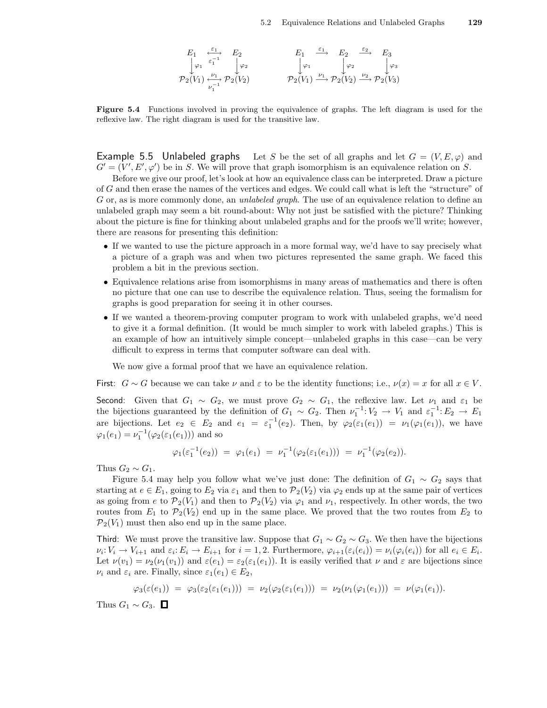$$
\begin{array}{ccc}\nE_1 & \xleftarrow{\varepsilon_1} & E_2 & E_1 & \xrightarrow{\varepsilon_2} & E_3 \\
\downarrow \varphi_1 & \xleftarrow{\varepsilon_1^{-1}} & \downarrow \varphi_2 & \downarrow \varphi_1 & \downarrow \varphi_2 & \downarrow \varphi_3 \\
\mathcal{P}_2(V_1) & \xleftarrow{\nu_1} & \mathcal{P}_2(V_2) & \mathcal{P}_2(V_1) & \xrightarrow{\nu_1} & \mathcal{P}_2(V_2) & \xrightarrow{\nu_2} & \mathcal{P}_2(V_3)\n\end{array}
$$

Figure 5.4 Functions involved in proving the equivalence of graphs. The left diagram is used for the reflexive law. The right diagram is used for the transitive law.

**Example 5.5 Unlabeled graphs** Let S be the set of all graphs and let  $G = (V, E, \varphi)$  and  $G' = (V', E', \varphi')$  be in S. We will prove that graph isomorphism is an equivalence relation on S.

Before we give our proof, let's look at how an equivalence class can be interpreted. Draw a picture of G and then erase the names of the vertices and edges. We could call what is left the "structure" of G or, as is more commonly done, an *unlabeled graph*. The use of an equivalence relation to define an unlabeled graph may seem a bit round-about: Why not just be satisfied with the picture? Thinking about the picture is fine for thinking about unlabeled graphs and for the proofs we'll write; however, there are reasons for presenting this definition:

- If we wanted to use the picture approach in a more formal way, we'd have to say precisely what a picture of a graph was and when two pictures represented the same graph. We faced this problem a bit in the previous section.
- Equivalence relations arise from isomorphisms in many areas of mathematics and there is often no picture that one can use to describe the equivalence relation. Thus, seeing the formalism for graphs is good preparation for seeing it in other courses.
- If we wanted a theorem-proving computer program to work with unlabeled graphs, we'd need to give it a formal definition. (It would be much simpler to work with labeled graphs.) This is an example of how an intuitively simple concept—unlabeled graphs in this case—can be very difficult to express in terms that computer software can deal with.

We now give a formal proof that we have an equivalence relation.

First:  $G \sim G$  because we can take  $\nu$  and  $\varepsilon$  to be the identity functions; i.e.,  $\nu(x) = x$  for all  $x \in V$ .

Second: Given that  $G_1 \sim G_2$ , we must prove  $G_2 \sim G_1$ , the reflexive law. Let  $\nu_1$  and  $\varepsilon_1$  be the bijections guaranteed by the definition of  $G_1 \sim G_2$ . Then  $\nu_1^{-1}: V_2 \to V_1$  and  $\varepsilon_1^{-1}: E_2 \to E_1$ are bijections. Let  $e_2 \in E_2$  and  $e_1 = \varepsilon_1^{-1}(e_2)$ . Then, by  $\varphi_2(\varepsilon_1(e_1)) = \nu_1(\varphi_1(e_1))$ , we have  $\varphi_1(e_1) = \nu_1^{-1}(\varphi_2(\varepsilon_1(e_1)))$  and so

$$
\varphi_1(\varepsilon_1^{-1}(e_2)) = \varphi_1(e_1) = \nu_1^{-1}(\varphi_2(\varepsilon_1(e_1))) = \nu_1^{-1}(\varphi_2(e_2)).
$$

Thus  $G_2 \sim G_1$ .

Figure 5.4 may help you follow what we've just done: The definition of  $G_1 \sim G_2$  says that starting at  $e \in E_1$ , going to  $E_2$  via  $\varepsilon_1$  and then to  $\mathcal{P}_2(V_2)$  via  $\varphi_2$  ends up at the same pair of vertices as going from e to  $\mathcal{P}_2(V_1)$  and then to  $\mathcal{P}_2(V_2)$  via  $\varphi_1$  and  $\nu_1$ , respectively. In other words, the two routes from  $E_1$  to  $\mathcal{P}_2(V_2)$  end up in the same place. We proved that the two routes from  $E_2$  to  $\mathcal{P}_2(V_1)$  must then also end up in the same place.

Third: We must prove the transitive law. Suppose that  $G_1 \sim G_2 \sim G_3$ . We then have the bijections  $\nu_i: V_i \to V_{i+1}$  and  $\varepsilon_i: E_i \to E_{i+1}$  for  $i=1,2$ . Furthermore,  $\varphi_{i+1}(\varepsilon_i(e_i)) = \nu_i(\varphi_i(e_i))$  for all  $e_i \in E_i$ . Let  $\nu(v_1) = \nu_2(\nu_1(v_1))$  and  $\varepsilon(e_1) = \varepsilon_2(\varepsilon_1(e_1))$ . It is easily verified that  $\nu$  and  $\varepsilon$  are bijections since  $\nu_i$  and  $\varepsilon_i$  are. Finally, since  $\varepsilon_1(e_1) \in E_2$ ,

$$
\varphi_3(\varepsilon(e_1)) = \varphi_3(\varepsilon_2(\varepsilon_1(e_1))) = \nu_2(\varphi_2(\varepsilon_1(e_1))) = \nu_2(\nu_1(\varphi_1(e_1))) = \nu(\varphi_1(e_1)).
$$

Thus  $G_1 \sim G_3$ .  $\Box$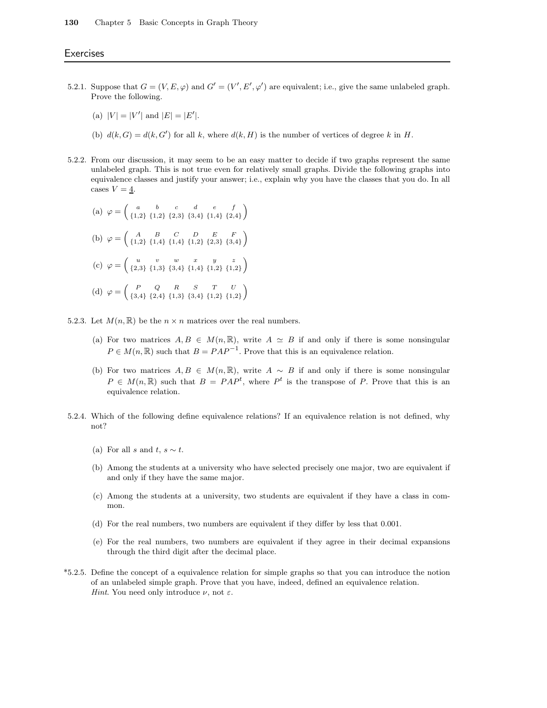#### **Exercises**

- 5.2.1. Suppose that  $G = (V, E, \varphi)$  and  $G' = (V', E', \varphi')$  are equivalent; i.e., give the same unlabeled graph. Prove the following.
	- (a)  $|V| = |V'|$  and  $|E| = |E'|$ .
	- (b)  $d(k, G) = d(k, G')$  for all k, where  $d(k, H)$  is the number of vertices of degree k in H.
- 5.2.2. From our discussion, it may seem to be an easy matter to decide if two graphs represent the same unlabeled graph. This is not true even for relatively small graphs. Divide the following graphs into equivalence classes and justify your answer; i.e., explain why you have the classes that you do. In all cases  $V = 4$ .
	- (a)  $\varphi = \begin{pmatrix} a & b & c & d & e & f \\ f_1 & 2 & f_1 & 2 & f_2 & 3 & f_3 & 4 & f_1 & 4 & f_2 \end{pmatrix}$  $\begin{array}{cccc} a & b & c & d & e & f \\ {1,2} & {1,2} & {2,3} & {3,4} & {1,4} & {2,4} \end{array}$
	- (b)  $\varphi = \begin{pmatrix} A & B & C & D & E & F \\ f_{1,2} & f_{1,4} & f_{1,4} & f_{1,2} & f_{2,3} & f_{3,4} \end{pmatrix}$  ${A \quad B \quad C \quad D \quad E \quad F \ \{1,2\} \{1,4\} \{1,4\} \{1,2\} \{2,3\} \{3,4\}$
	- (c)  $\varphi = \begin{pmatrix} u & v & w & x & y & z \\ {2,3} & {1,3} & {3,4} & {1,4} & {1,2} & {1,2} \end{pmatrix}$
	- (d) ϕ = P Q R S T U  $\begin{bmatrix} P & Q & R & S & T & U \\ {3,4} & {2,4} & {1,3} & {3,4} & {1,2} & {1,2} \end{bmatrix}$
- 5.2.3. Let  $M(n, \mathbb{R})$  be the  $n \times n$  matrices over the real numbers.
	- (a) For two matrices  $A, B \in M(n, \mathbb{R})$ , write  $A \simeq B$  if and only if there is some nonsingular  $P \in M(n, \mathbb{R})$  such that  $B = PAP^{-1}$ . Prove that this is an equivalence relation.
	- (b) For two matrices  $A, B \in M(n, \mathbb{R})$ , write  $A \sim B$  if and only if there is some nonsingular  $P \in M(n,\mathbb{R})$  such that  $B = PAP^t$ , where  $P^t$  is the transpose of P. Prove that this is an equivalence relation.
- 5.2.4. Which of the following define equivalence relations? If an equivalence relation is not defined, why not?
	- (a) For all s and t,  $s \sim t$ .
	- (b) Among the students at a university who have selected precisely one major, two are equivalent if and only if they have the same major.
	- (c) Among the students at a university, two students are equivalent if they have a class in common.
	- (d) For the real numbers, two numbers are equivalent if they differ by less that 0.001.
	- (e) For the real numbers, two numbers are equivalent if they agree in their decimal expansions through the third digit after the decimal place.
- \*5.2.5. Define the concept of a equivalence relation for simple graphs so that you can introduce the notion of an unlabeled simple graph. Prove that you have, indeed, defined an equivalence relation. Hint. You need only introduce  $\nu$ , not  $\varepsilon$ .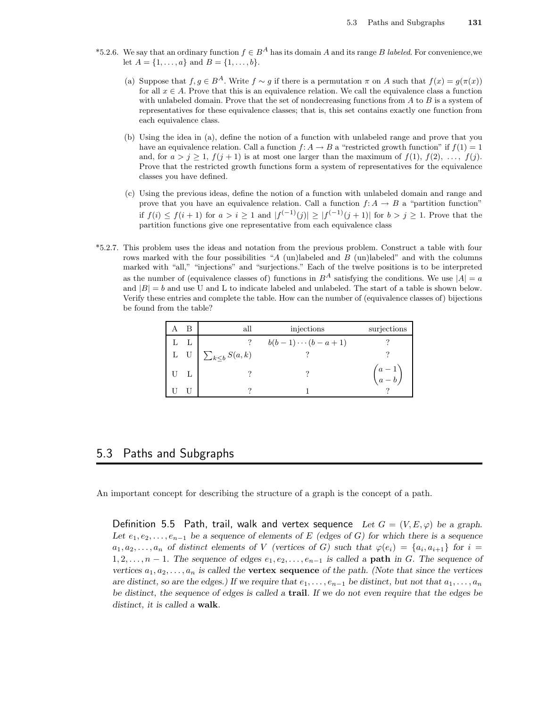- \*5.2.6. We say that an ordinary function  $f \in B^A$  has its domain A and its range B labeled. For convenience, we let  $A = \{1, ..., a\}$  and  $B = \{1, ..., b\}$ .
	- (a) Suppose that  $f, g \in B^A$ . Write  $f \sim g$  if there is a permutation  $\pi$  on A such that  $f(x) = g(\pi(x))$ for all  $x \in A$ . Prove that this is an equivalence relation. We call the equivalence class a function with unlabeled domain. Prove that the set of nondecreasing functions from  $A$  to  $B$  is a system of representatives for these equivalence classes; that is, this set contains exactly one function from each equivalence class.
	- (b) Using the idea in (a), define the notion of a function with unlabeled range and prove that you have an equivalence relation. Call a function  $f: A \to B$  a "restricted growth function" if  $f(1) = 1$ and, for  $a > j \ge 1$ ,  $f(j + 1)$  is at most one larger than the maximum of  $f(1)$ ,  $f(2)$ , ...,  $f(j)$ . Prove that the restricted growth functions form a system of representatives for the equivalence classes you have defined.
	- (c) Using the previous ideas, define the notion of a function with unlabeled domain and range and prove that you have an equivalence relation. Call a function  $f: A \to B$  a "partition function" if  $f(i) \leq f(i+1)$  for  $a > i \geq 1$  and  $|f^{(-1)}(j)| \geq |f^{(-1)}(j+1)|$  for  $b > j \geq 1$ . Prove that the partition functions give one representative from each equivalence class
- \*5.2.7. This problem uses the ideas and notation from the previous problem. Construct a table with four rows marked with the four possibilities "A (un)labeled and B (un)labeled" and with the columns marked with "all," "injections" and "surjections." Each of the twelve positions is to be interpreted as the number of (equivalence classes of) functions in  $B^A$  satisfying the conditions. We use  $|A| = a$ and  $|B| = b$  and use U and L to indicate labeled and unlabeled. The start of a table is shown below. Verify these entries and complete the table. How can the number of (equivalence classes of) bijections be found from the table?

| B     | all                     | injections            | surjections        |
|-------|-------------------------|-----------------------|--------------------|
|       |                         | $b(b-1)\cdots(b-a+1)$ |                    |
| $L$ U | $\sum_{k\leq b} S(a,k)$ |                       |                    |
|       |                         |                       | $\binom{a-1}{a-b}$ |
|       |                         |                       |                    |

## 5.3 Paths and Subgraphs

An important concept for describing the structure of a graph is the concept of a path.

Definition 5.5 Path, trail, walk and vertex sequence Let  $G = (V, E, \varphi)$  be a graph. Let  $e_1, e_2, \ldots, e_{n-1}$  be a sequence of elements of E (edges of G) for which there is a sequence  $a_1, a_2, \ldots, a_n$  of distinct elements of V (vertices of G) such that  $\varphi(e_i) = \{a_i, a_{i+1}\}\$  for  $i =$  $1, 2, \ldots, n-1$ . The sequence of edges  $e_1, e_2, \ldots, e_{n-1}$  is called a **path** in G. The sequence of vertices  $a_1, a_2, \ldots, a_n$  is called the **vertex sequence** of the path. (Note that since the vertices are distinct, so are the edges.) If we require that  $e_1, \ldots, e_{n-1}$  be distinct, but not that  $a_1, \ldots, a_n$ be distinct, the sequence of edges is called a **trail**. If we do not even require that the edges be distinct, it is called a walk.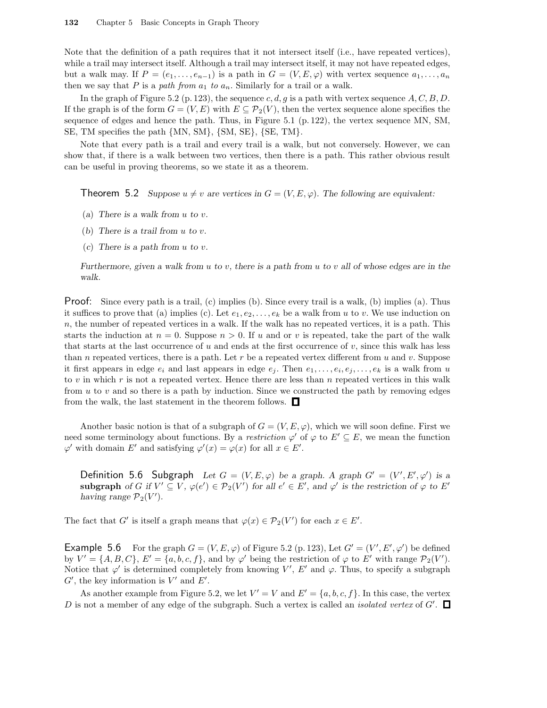Note that the definition of a path requires that it not intersect itself (i.e., have repeated vertices), while a trail may intersect itself. Although a trail may intersect itself, it may not have repeated edges, but a walk may. If  $P = (e_1, \ldots, e_{n-1})$  is a path in  $G = (V, E, \varphi)$  with vertex sequence  $a_1, \ldots, a_n$ then we say that P is a path from  $a_1$  to  $a_n$ . Similarly for a trail or a walk.

In the graph of Figure 5.2 (p. 123), the sequence c, d, g is a path with vertex sequence  $A, C, B, D$ . If the graph is of the form  $G = (V, E)$  with  $E \subseteq \mathcal{P}_2(V)$ , then the vertex sequence alone specifies the sequence of edges and hence the path. Thus, in Figure 5.1 (p. 122), the vertex sequence MN, SM, SE, TM specifies the path {MN, SM}, {SM, SE}, {SE, TM}.

Note that every path is a trail and every trail is a walk, but not conversely. However, we can show that, if there is a walk between two vertices, then there is a path. This rather obvious result can be useful in proving theorems, so we state it as a theorem.

**Theorem** 5.2 Suppose  $u \neq v$  are vertices in  $G = (V, E, \varphi)$ . The following are equivalent:

- (a) There is a walk from  $u$  to  $v$ .
- (b) There is a trail from u to v.
- (c) There is a path from u to v.

Furthermore, given a walk from  $u$  to  $v$ , there is a path from  $u$  to  $v$  all of whose edges are in the walk.

Proof: Since every path is a trail, (c) implies (b). Since every trail is a walk, (b) implies (a). Thus it suffices to prove that (a) implies (c). Let  $e_1, e_2, \ldots, e_k$  be a walk from u to v. We use induction on n, the number of repeated vertices in a walk. If the walk has no repeated vertices, it is a path. This starts the induction at  $n = 0$ . Suppose  $n > 0$ . If u and or v is repeated, take the part of the walk that starts at the last occurrence of  $u$  and ends at the first occurrence of  $v$ , since this walk has less than n repeated vertices, there is a path. Let r be a repeated vertex different from u and v. Suppose it first appears in edge  $e_i$  and last appears in edge  $e_j$ . Then  $e_1, \ldots, e_i, e_j, \ldots, e_k$  is a walk from u to v in which r is not a repeated vertex. Hence there are less than n repeated vertices in this walk from  $u$  to  $v$  and so there is a path by induction. Since we constructed the path by removing edges from the walk, the last statement in the theorem follows.  $\,\blacksquare\,$ 

Another basic notion is that of a subgraph of  $G = (V, E, \varphi)$ , which we will soon define. First we need some terminology about functions. By a *restriction*  $\varphi'$  of  $\varphi$  to  $E' \subseteq E$ , we mean the function  $\varphi'$  with domain E' and satisfying  $\varphi'(x) = \varphi(x)$  for all  $x \in E'$ .

**Definition 5.6 Subgraph** Let  $G = (V, E, \varphi)$  be a graph. A graph  $G' = (V', E', \varphi')$  is a subgraph of G if  $V' \subseteq V$ ,  $\varphi(e') \in \mathcal{P}_2(V')$  for all  $e' \in E'$ , and  $\varphi'$  is the restriction of  $\varphi$  to  $E'$ having range  $\mathcal{P}_2(V')$ .

The fact that G' is itself a graph means that  $\varphi(x) \in \mathcal{P}_2(V')$  for each  $x \in E'$ .

**Example 5.6** For the graph  $G = (V, E, \varphi)$  of Figure 5.2 (p. 123), Let  $G' = (V', E', \varphi')$  be defined by  $V' = \{A, B, C\}, E' = \{a, b, c, f\},\$ and by  $\varphi'$  being the restriction of  $\varphi$  to  $E'$  with range  $\mathcal{P}_2(V')$ . Notice that  $\varphi'$  is determined completely from knowing V', E' and  $\varphi$ . Thus, to specify a subgraph  $G'$ , the key information is  $V'$  and  $E'$ .

As another example from Figure 5.2, we let  $V' = V$  and  $E' = \{a, b, c, f\}$ . In this case, the vertex  $D$  is not a member of any edge of the subgraph. Such a vertex is called an *isolated vertex* of  $G'$ .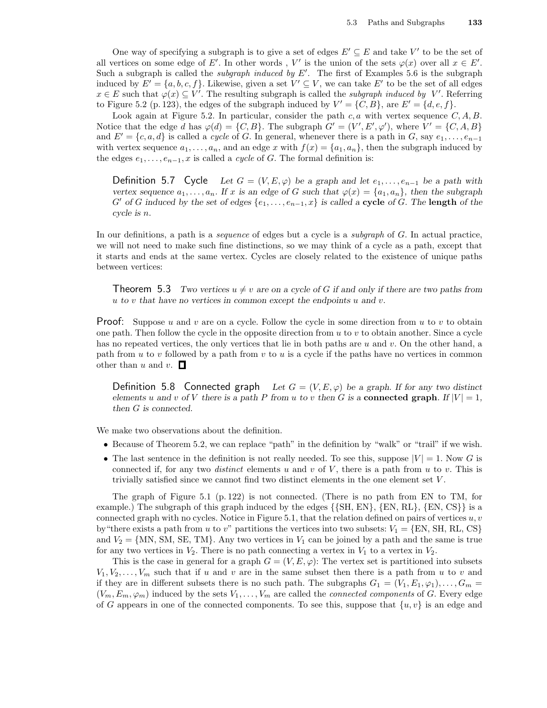One way of specifying a subgraph is to give a set of edges  $E' \subseteq E$  and take V' to be the set of all vertices on some edge of E'. In other words, V' is the union of the sets  $\varphi(x)$  over all  $x \in E'$ . Such a subgraph is called the *subgraph induced by*  $E'$ . The first of Examples 5.6 is the subgraph induced by  $E' = \{a, b, c, f\}$ . Likewise, given a set  $V' \subseteq V$ , we can take E' to be the set of all edges  $x \in E$  such that  $\varphi(x) \subseteq V'$ . The resulting subgraph is called the *subgraph induced by V'*. Referring to Figure 5.2 (p. 123), the edges of the subgraph induced by  $V' = \{C, B\}$ , are  $E' = \{d, e, f\}$ .

Look again at Figure 5.2. In particular, consider the path  $c, a$  with vertex sequence  $C, A, B$ . Notice that the edge d has  $\varphi(d) = \{C, B\}$ . The subgraph  $G' = (V', E', \varphi')$ , where  $V' = \{C, A, B\}$ and  $E' = \{c, a, d\}$  is called a cycle of G. In general, whenever there is a path in G, say  $e_1, \ldots, e_{n-1}$ with vertex sequence  $a_1, \ldots, a_n$ , and an edge x with  $f(x) = \{a_1, a_n\}$ , then the subgraph induced by the edges  $e_1, \ldots, e_{n-1}, x$  is called a *cycle* of G. The formal definition is:

Definition 5.7 Cycle Let  $G = (V, E, \varphi)$  be a graph and let  $e_1, \ldots, e_{n-1}$  be a path with vertex sequence  $a_1, \ldots, a_n$ . If x is an edge of G such that  $\varphi(x) = \{a_1, a_n\}$ , then the subgraph G' of G induced by the set of edges  $\{e_1, \ldots, e_{n-1}, x\}$  is called a **cycle** of G. The **length** of the cycle is n.

In our definitions, a path is a *sequence* of edges but a cycle is a *subgraph* of G. In actual practice, we will not need to make such fine distinctions, so we may think of a cycle as a path, except that it starts and ends at the same vertex. Cycles are closely related to the existence of unique paths between vertices:

**Theorem 5.3** Two vertices  $u \neq v$  are on a cycle of G if and only if there are two paths from  $u$  to  $v$  that have no vertices in common except the endpoints  $u$  and  $v$ .

**Proof:** Suppose u and v are on a cycle. Follow the cycle in some direction from u to v to obtain one path. Then follow the cycle in the opposite direction from  $u$  to  $v$  to obtain another. Since a cycle has no repeated vertices, the only vertices that lie in both paths are  $u$  and  $v$ . On the other hand, a path from  $u$  to  $v$  followed by a path from  $v$  to  $u$  is a cycle if the paths have no vertices in common other than u and v.  $\square$ 

Definition 5.8 Connected graph Let  $G = (V, E, \varphi)$  be a graph. If for any two distinct elements u and v of V there is a path P from u to v then G is a **connected graph**. If  $|V| = 1$ , then G is connected.

We make two observations about the definition.

- Because of Theorem 5.2, we can replace "path" in the definition by "walk" or "trail" if we wish.
- The last sentence in the definition is not really needed. To see this, suppose  $|V| = 1$ . Now G is connected if, for any two *distinct* elements u and v of V, there is a path from u to v. This is trivially satisfied since we cannot find two distinct elements in the one element set V .

The graph of Figure 5.1 (p. 122) is not connected. (There is no path from EN to TM, for example.) The subgraph of this graph induced by the edges  $\{\{SH, EN\}, \{EN, RL\}, \{EN, CS\}\}\$ is a connected graph with no cycles. Notice in Figure 5.1, that the relation defined on pairs of vertices  $u, v$ by "there exists a path from u to v" partitions the vertices into two subsets:  $V_1 = \{EN, SH, RL, CS\}$ and  $V_2 = \{MN, SM, SE, TM\}$ . Any two vertices in  $V_1$  can be joined by a path and the same is true for any two vertices in  $V_2$ . There is no path connecting a vertex in  $V_1$  to a vertex in  $V_2$ .

This is the case in general for a graph  $G = (V, E, \varphi)$ : The vertex set is partitioned into subsets  $V_1, V_2, \ldots, V_m$  such that if u and v are in the same subset then there is a path from u to v and if they are in different subsets there is no such path. The subgraphs  $G_1 = (V_1, E_1, \varphi_1), \ldots, G_m =$  $(V_m, E_m, \varphi_m)$  induced by the sets  $V_1, \ldots, V_m$  are called the *connected components* of G. Every edge of G appears in one of the connected components. To see this, suppose that  $\{u, v\}$  is an edge and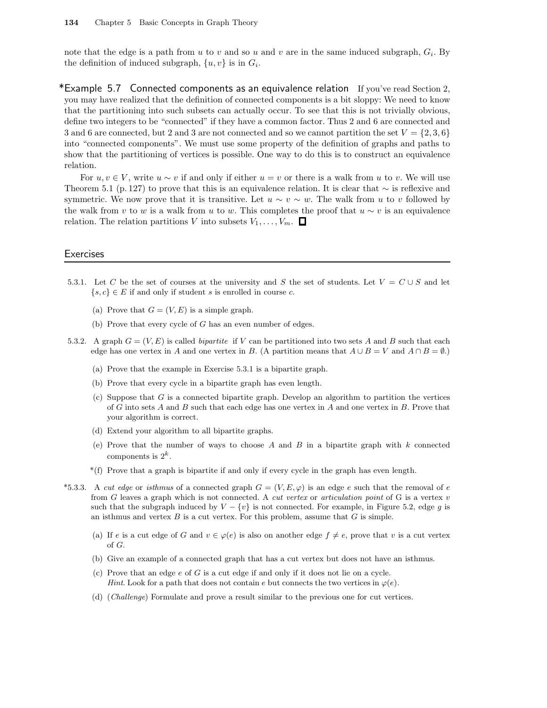note that the edge is a path from u to v and so u and v are in the same induced subgraph,  $G_i$ . By the definition of induced subgraph,  $\{u, v\}$  is in  $G_i$ .

\*Example 5.7 Connected components as an equivalence relation If you've read Section 2, you may have realized that the definition of connected components is a bit sloppy: We need to know that the partitioning into such subsets can actually occur. To see that this is not trivially obvious, define two integers to be "connected" if they have a common factor. Thus 2 and 6 are connected and 3 and 6 are connected, but 2 and 3 are not connected and so we cannot partition the set  $V = \{2, 3, 6\}$ into "connected components". We must use some property of the definition of graphs and paths to show that the partitioning of vertices is possible. One way to do this is to construct an equivalence relation.

For  $u, v \in V$ , write  $u \sim v$  if and only if either  $u = v$  or there is a walk from u to v. We will use Theorem 5.1 (p. 127) to prove that this is an equivalence relation. It is clear that  $\sim$  is reflexive and symmetric. We now prove that it is transitive. Let  $u \sim v \sim w$ . The walk from u to v followed by the walk from v to w is a walk from u to w. This completes the proof that  $u \sim v$  is an equivalence relation. The relation partitions V into subsets  $V_1, \ldots, V_m$ .

#### **Exercises**

- 5.3.1. Let C be the set of courses at the university and S the set of students. Let  $V = C \cup S$  and let  $\{s, c\} \in E$  if and only if student s is enrolled in course c.
	- (a) Prove that  $G = (V, E)$  is a simple graph.
	- (b) Prove that every cycle of G has an even number of edges.
- 5.3.2. A graph  $G = (V, E)$  is called *bipartite* if V can be partitioned into two sets A and B such that each edge has one vertex in A and one vertex in B. (A partition means that  $A \cup B = V$  and  $A \cap B = \emptyset$ .)
	- (a) Prove that the example in Exercise 5.3.1 is a bipartite graph.
	- (b) Prove that every cycle in a bipartite graph has even length.
	- $(c)$  Suppose that G is a connected bipartite graph. Develop an algorithm to partition the vertices of G into sets  $A$  and  $B$  such that each edge has one vertex in  $A$  and one vertex in  $B$ . Prove that your algorithm is correct.
	- (d) Extend your algorithm to all bipartite graphs.
	- (e) Prove that the number of ways to choose A and B in a bipartite graph with  $k$  connected components is  $2^k$ .
	- \*(f) Prove that a graph is bipartite if and only if every cycle in the graph has even length.
- \*5.3.3. A cut edge or isthmus of a connected graph  $G = (V, E, \varphi)$  is an edge e such that the removal of e from G leaves a graph which is not connected. A *cut vertex* or *articulation point* of G is a vertex  $v$ such that the subgraph induced by  $V - \{v\}$  is not connected. For example, in Figure 5.2, edge g is an isthmus and vertex  $B$  is a cut vertex. For this problem, assume that  $G$  is simple.
	- (a) If e is a cut edge of G and  $v \in \varphi(e)$  is also on another edge  $f \neq e$ , prove that v is a cut vertex of G.
	- (b) Give an example of a connected graph that has a cut vertex but does not have an isthmus.
	- (c) Prove that an edge  $e$  of  $G$  is a cut edge if and only if it does not lie on a cycle. Hint. Look for a path that does not contain e but connects the two vertices in  $\varphi(e)$ .
	- (d) (Challenge) Formulate and prove a result similar to the previous one for cut vertices.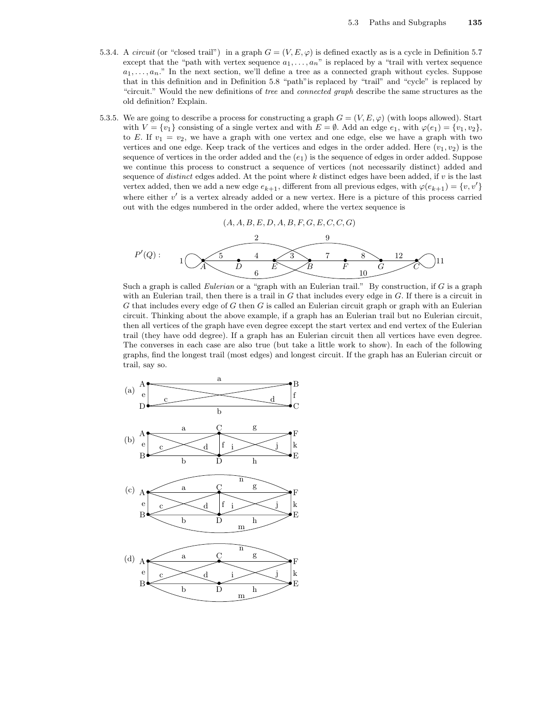- 5.3.4. A circuit (or "closed trail") in a graph  $G = (V, E, \varphi)$  is defined exactly as is a cycle in Definition 5.7 except that the "path with vertex sequence  $a_1, \ldots, a_n$ " is replaced by a "trail with vertex sequence  $a_1, \ldots, a_n$ ." In the next section, we'll define a tree as a connected graph without cycles. Suppose that in this definition and in Definition 5.8 "path"is replaced by "trail" and "cycle" is replaced by "circuit." Would the new definitions of tree and connected graph describe the same structures as the old definition? Explain.
- 5.3.5. We are going to describe a process for constructing a graph  $G = (V, E, \varphi)$  (with loops allowed). Start with  $V = \{v_1\}$  consisting of a single vertex and with  $E = \emptyset$ . Add an edge  $e_1$ , with  $\varphi(e_1) = \{v_1, v_2\}$ , to E. If  $v_1 = v_2$ , we have a graph with one vertex and one edge, else we have a graph with two vertices and one edge. Keep track of the vertices and edges in the order added. Here  $(v_1, v_2)$  is the sequence of vertices in the order added and the  $(e_1)$  is the sequence of edges in order added. Suppose we continue this process to construct a sequence of vertices (not necessarily distinct) added and sequence of *distinct* edges added. At the point where  $k$  distinct edges have been added, if  $v$  is the last vertex added, then we add a new edge  $e_{k+1}$ , different from all previous edges, with  $\varphi(e_{k+1}) = \{v, v'\}$ where either  $v'$  is a vertex already added or a new vertex. Here is a picture of this process carried out with the edges numbered in the order added, where the vertex sequence is

$$
(A, A, B, E, D, A, B, F, G, E, C, C, G)
$$
\n

| 2      | 9 |
|--------|---|
| P'(Q): | 1 |
| 5      | 4 |
| 6      | 5 |
| 6      | 6 |

\n

| 1 | 6 |
|---|---|
|---|---|

\n

| 10 | 6 |
|----|---|
|----|---|

\n

| 11 | 6 |
|----|---|
|----|---|

Such a graph is called *Eulerian* or a "graph with an Eulerian trail." By construction, if G is a graph with an Eulerian trail, then there is a trail in  $G$  that includes every edge in  $G$ . If there is a circuit in G that includes every edge of G then G is called an Eulerian circuit graph or graph with an Eulerian circuit. Thinking about the above example, if a graph has an Eulerian trail but no Eulerian circuit, then all vertices of the graph have even degree except the start vertex and end vertex of the Eulerian trail (they have odd degree). If a graph has an Eulerian circuit then all vertices have even degree. The converses in each case are also true (but take a little work to show). In each of the following graphs, find the longest trail (most edges) and longest circuit. If the graph has an Eulerian circuit or trail, say so.







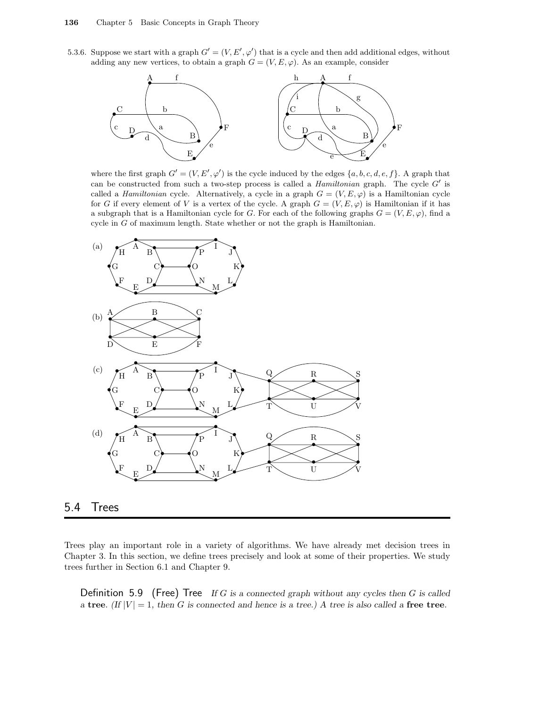5.3.6. Suppose we start with a graph  $G' = (V, E', \varphi')$  that is a cycle and then add additional edges, without adding any new vertices, to obtain a graph  $G = (V, E, \varphi)$ . As an example, consider



where the first graph  $G' = (V, E', \varphi')$  is the cycle induced by the edges  $\{a, b, c, d, e, f\}$ . A graph that can be constructed from such a two-step process is called a *Hamiltonian* graph. The cycle  $G'$  is called a *Hamiltonian* cycle. Alternatively, a cycle in a graph  $G = (V, E, \varphi)$  is a Hamiltonian cycle for G if every element of V is a vertex of the cycle. A graph  $G = (V, E, \varphi)$  is Hamiltonian if it has a subgraph that is a Hamiltonian cycle for G. For each of the following graphs  $G = (V, E, \varphi)$ , find a cycle in G of maximum length. State whether or not the graph is Hamiltonian.



## 5.4 Trees

Trees play an important role in a variety of algorithms. We have already met decision trees in Chapter 3. In this section, we define trees precisely and look at some of their properties. We study trees further in Section 6.1 and Chapter 9.

**Definition 5.9** (Free) Tree If G is a connected graph without any cycles then G is called a tree. (If  $|V| = 1$ , then G is connected and hence is a tree.) A tree is also called a free tree.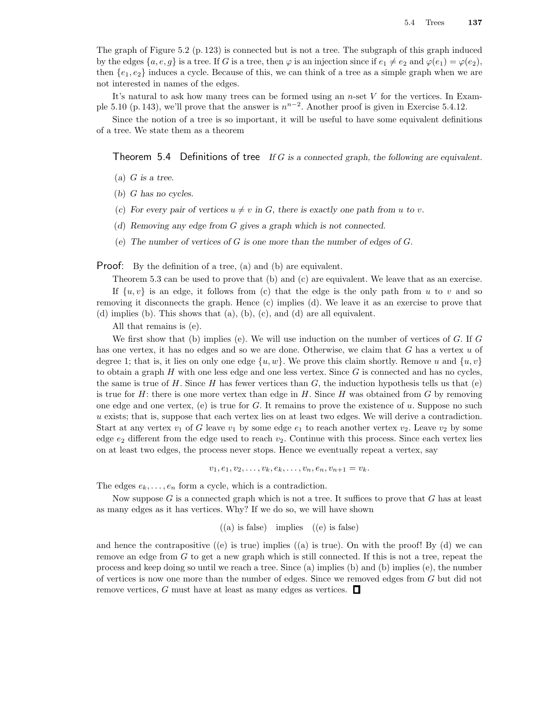The graph of Figure 5.2 (p. 123) is connected but is not a tree. The subgraph of this graph induced by the edges  $\{a, e, g\}$  is a tree. If G is a tree, then  $\varphi$  is an injection since if  $e_1 \neq e_2$  and  $\varphi(e_1) = \varphi(e_2)$ , then  $\{e_1, e_2\}$  induces a cycle. Because of this, we can think of a tree as a simple graph when we are not interested in names of the edges.

It's natural to ask how many trees can be formed using an  $n$ -set V for the vertices. In Example 5.10 (p. 143), we'll prove that the answer is  $n^{n-2}$ . Another proof is given in Exercise 5.4.12.

Since the notion of a tree is so important, it will be useful to have some equivalent definitions of a tree. We state them as a theorem

Theorem 5.4 Definitions of tree If G is a connected graph, the following are equivalent.

- $(a)$  G is a tree.
- (b) G has no cycles.
- (c) For every pair of vertices  $u \neq v$  in G, there is exactly one path from u to v.
- (d) Removing any edge from G gives a graph which is not connected.
- (e) The number of vertices of  $G$  is one more than the number of edges of  $G$ .

Proof: By the definition of a tree, (a) and (b) are equivalent.

Theorem 5.3 can be used to prove that (b) and (c) are equivalent. We leave that as an exercise. If  $\{u, v\}$  is an edge, it follows from (c) that the edge is the only path from u to v and so removing it disconnects the graph. Hence (c) implies (d). We leave it as an exercise to prove that (d) implies (b). This shows that (a), (b), (c), and (d) are all equivalent.

All that remains is (e).

We first show that (b) implies (e). We will use induction on the number of vertices of  $G$ . If  $G$ has one vertex, it has no edges and so we are done. Otherwise, we claim that  $G$  has a vertex  $u$  of degree 1; that is, it lies on only one edge  $\{u, w\}$ . We prove this claim shortly. Remove u and  $\{u, v\}$ to obtain a graph  $H$  with one less edge and one less vertex. Since  $G$  is connected and has no cycles, the same is true of H. Since H has fewer vertices than  $G$ , the induction hypothesis tells us that (e) is true for  $H$ : there is one more vertex than edge in  $H$ . Since  $H$  was obtained from  $G$  by removing one edge and one vertex, (e) is true for  $G$ . It remains to prove the existence of  $u$ . Suppose no such u exists; that is, suppose that each vertex lies on at least two edges. We will derive a contradiction. Start at any vertex  $v_1$  of G leave  $v_1$  by some edge  $e_1$  to reach another vertex  $v_2$ . Leave  $v_2$  by some edge  $e_2$  different from the edge used to reach  $v_2$ . Continue with this process. Since each vertex lies on at least two edges, the process never stops. Hence we eventually repeat a vertex, say

$$
v_1, e_1, v_2, \ldots, v_k, e_k, \ldots, v_n, e_n, v_{n+1} = v_k.
$$

The edges  $e_k, \ldots, e_n$  form a cycle, which is a contradiction.

Now suppose  $G$  is a connected graph which is not a tree. It suffices to prove that  $G$  has at least as many edges as it has vertices. Why? If we do so, we will have shown

$$
((a) \text{ is false})
$$
 implies  $((e) \text{ is false})$ 

and hence the contrapositive  $(0)$  is true) implies  $(0)$  is true). On with the proof! By  $(d)$  we can remove an edge from  $G$  to get a new graph which is still connected. If this is not a tree, repeat the process and keep doing so until we reach a tree. Since (a) implies (b) and (b) implies (e), the number of vertices is now one more than the number of edges. Since we removed edges from G but did not remove vertices, G must have at least as many edges as vertices.  $\Box$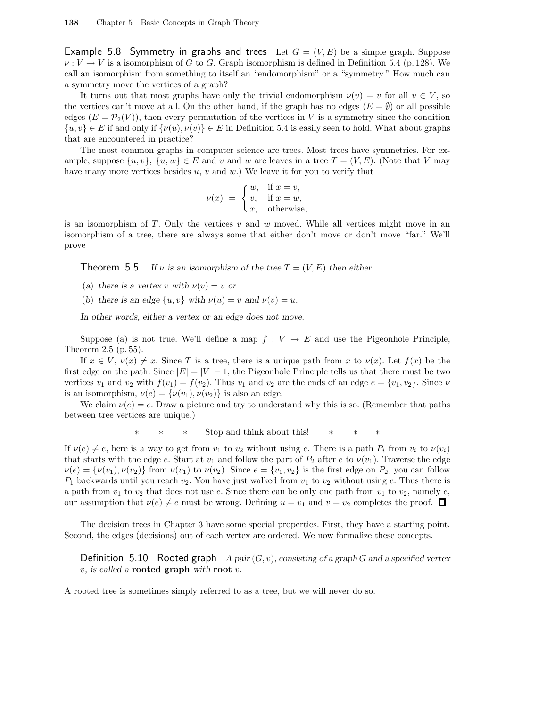**Example 5.8 Symmetry in graphs and trees** Let  $G = (V, E)$  be a simple graph. Suppose  $\nu: V \to V$  is a isomorphism of G to G. Graph isomorphism is defined in Definition 5.4 (p. 128). We call an isomorphism from something to itself an "endomorphism" or a "symmetry." How much can a symmetry move the vertices of a graph?

It turns out that most graphs have only the trivial endomorphism  $\nu(v) = v$  for all  $v \in V$ , so the vertices can't move at all. On the other hand, if the graph has no edges  $(E = \emptyset)$  or all possible edges  $(E = \mathcal{P}_2(V))$ , then every permutation of the vertices in V is a symmetry since the condition  $\{u, v\} \in E$  if and only if  $\{\nu(u), \nu(v)\} \in E$  in Definition 5.4 is easily seen to hold. What about graphs that are encountered in practice?

The most common graphs in computer science are trees. Most trees have symmetries. For example, suppose  $\{u, v\}$ ,  $\{u, w\} \in E$  and v and w are leaves in a tree  $T = (V, E)$ . (Note that V may have many more vertices besides  $u, v$  and  $w$ .) We leave it for you to verify that

$$
\nu(x) = \begin{cases} w, & \text{if } x = v, \\ v, & \text{if } x = w, \\ x, & \text{otherwise,} \end{cases}
$$

is an isomorphism of T. Only the vertices  $v$  and  $w$  moved. While all vertices might move in an isomorphism of a tree, there are always some that either don't move or don't move "far." We'll prove

**Theorem 5.5** If  $\nu$  is an isomorphism of the tree  $T = (V, E)$  then either

- (a) there is a vertex v with  $\nu(v) = v$  or
- (b) there is an edge  $\{u, v\}$  with  $\nu(u) = v$  and  $\nu(v) = u$ .

In other words, either a vertex or an edge does not move.

Suppose (a) is not true. We'll define a map  $f: V \to E$  and use the Pigeonhole Principle, Theorem 2.5 (p. 55).

If  $x \in V$ ,  $\nu(x) \neq x$ . Since T is a tree, there is a unique path from x to  $\nu(x)$ . Let  $f(x)$  be the first edge on the path. Since  $|E| = |V| - 1$ , the Pigeonhole Principle tells us that there must be two vertices  $v_1$  and  $v_2$  with  $f(v_1) = f(v_2)$ . Thus  $v_1$  and  $v_2$  are the ends of an edge  $e = \{v_1, v_2\}$ . Since  $\nu$ is an isomorphism,  $\nu(e) = {\nu(v_1), \nu(v_2)}$  is also an edge.

We claim  $\nu(e) = e$ . Draw a picture and try to understand why this is so. (Remember that paths between tree vertices are unique.)

∗ ∗ ∗ Stop and think about this! ∗ ∗ ∗

If  $\nu(e) \neq e$ , here is a way to get from  $v_1$  to  $v_2$  without using e. There is a path  $P_i$  from  $v_i$  to  $\nu(v_i)$ that starts with the edge e. Start at  $v_1$  and follow the part of  $P_2$  after e to  $\nu(v_1)$ . Traverse the edge  $\nu(e) = {\nu(v_1), \nu(v_2)}$  from  $\nu(v_1)$  to  $\nu(v_2)$ . Since  $e = {v_1, v_2}$  is the first edge on  $P_2$ , you can follow  $P_1$  backwards until you reach  $v_2$ . You have just walked from  $v_1$  to  $v_2$  without using e. Thus there is a path from  $v_1$  to  $v_2$  that does not use e. Since there can be only one path from  $v_1$  to  $v_2$ , namely e, our assumption that  $\nu(e) \neq e$  must be wrong. Defining  $u = v_1$  and  $v = v_2$  completes the proof.  $\Box$ 

The decision trees in Chapter 3 have some special properties. First, they have a starting point. Second, the edges (decisions) out of each vertex are ordered. We now formalize these concepts.

Definition 5.10 Rooted graph A pair  $(G, v)$ , consisting of a graph G and a specified vertex  $v$ , is called a rooted graph with root  $v$ .

A rooted tree is sometimes simply referred to as a tree, but we will never do so.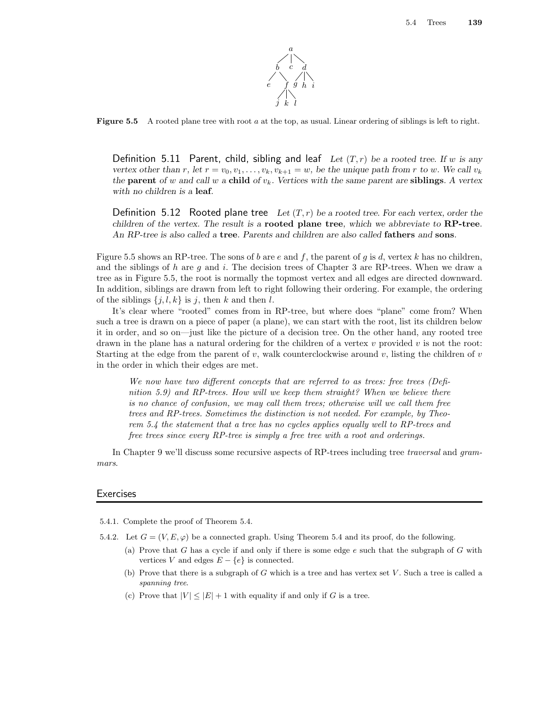

Figure 5.5 A rooted plane tree with root a at the top, as usual. Linear ordering of siblings is left to right.

Definition 5.11 Parent, child, sibling and leaf Let  $(T, r)$  be a rooted tree. If w is any vertex other than r, let  $r = v_0, v_1, \ldots, v_k, v_{k+1} = w$ , be the unique path from r to w. We call  $v_k$ the parent of w and call w a child of  $v_k$ . Vertices with the same parent are siblings. A vertex with no children is a leaf.

**Definition 5.12 Rooted plane tree** Let  $(T, r)$  be a rooted tree. For each vertex, order the children of the vertex. The result is a **rooted plane tree**, which we abbreviate to **RP-tree**. An RP-tree is also called a tree. Parents and children are also called fathers and sons.

Figure 5.5 shows an RP-tree. The sons of b are e and f, the parent of q is d, vertex k has no children, and the siblings of h are  $q$  and i. The decision trees of Chapter 3 are RP-trees. When we draw a tree as in Figure 5.5, the root is normally the topmost vertex and all edges are directed downward. In addition, siblings are drawn from left to right following their ordering. For example, the ordering of the siblings  $\{j, l, k\}$  is j, then k and then l.

It's clear where "rooted" comes from in RP-tree, but where does "plane" come from? When such a tree is drawn on a piece of paper (a plane), we can start with the root, list its children below it in order, and so on—just like the picture of a decision tree. On the other hand, any rooted tree drawn in the plane has a natural ordering for the children of a vertex  $v$  provided  $v$  is not the root: Starting at the edge from the parent of v, walk counterclockwise around v, listing the children of v in the order in which their edges are met.

We now have two different concepts that are referred to as trees: free trees (Definition 5.9) and RP-trees. How will we keep them straight? When we believe there is no chance of confusion, we may call them trees; otherwise will we call them free trees and RP-trees. Sometimes the distinction is not needed. For example, by Theorem 5.4 the statement that a tree has no cycles applies equally well to RP-trees and free trees since every RP-tree is simply a free tree with a root and orderings.

In Chapter 9 we'll discuss some recursive aspects of RP-trees including tree traversal and grammars.

#### **Exercises**

- 5.4.1. Complete the proof of Theorem 5.4.
- 5.4.2. Let  $G = (V, E, \varphi)$  be a connected graph. Using Theorem 5.4 and its proof, do the following.
	- (a) Prove that G has a cycle if and only if there is some edge  $e$  such that the subgraph of G with vertices V and edges  $E - \{e\}$  is connected.
	- (b) Prove that there is a subgraph of G which is a tree and has vertex set  $V$ . Such a tree is called a spanning tree.
	- (c) Prove that  $|V| \leq |E| + 1$  with equality if and only if G is a tree.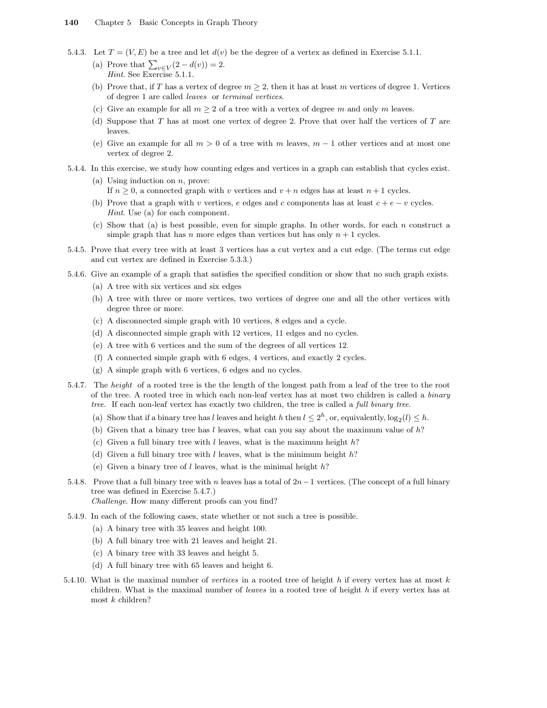- 5.4.3. Let  $T = (V, E)$  be a tree and let  $d(v)$  be the degree of a vertex as defined in Exercise 5.1.1.
	- (a) Prove that  $\sum_{v \in V} (2 d(v)) = 2$ . Hint. See Exercise 5.1.1.
	- (b) Prove that, if T has a vertex of degree  $m \geq 2$ , then it has at least m vertices of degree 1. Vertices of degree 1 are called leaves or terminal vertices.
	- (c) Give an example for all  $m \geq 2$  of a tree with a vertex of degree m and only m leaves.
	- (d) Suppose that T has at most one vertex of degree 2. Prove that over half the vertices of T are leaves.
	- (e) Give an example for all  $m > 0$  of a tree with m leaves,  $m 1$  other vertices and at most one vertex of degree 2.
- 5.4.4. In this exercise, we study how counting edges and vertices in a graph can establish that cycles exist.
	- (a) Using induction on  $n$ , prove: If  $n \geq 0$ , a connected graph with v vertices and  $v + n$  edges has at least  $n + 1$  cycles.
	- (b) Prove that a graph with v vertices, e edges and c components has at least  $c + e v$  cycles. Hint. Use (a) for each component.
	- (c) Show that (a) is best possible, even for simple graphs. In other words, for each n construct a simple graph that has n more edges than vertices but has only  $n + 1$  cycles.
- 5.4.5. Prove that every tree with at least 3 vertices has a cut vertex and a cut edge. (The terms cut edge and cut vertex are defined in Exercise 5.3.3.)
- 5.4.6. Give an example of a graph that satisfies the specified condition or show that no such graph exists.
	- (a) A tree with six vertices and six edges
	- (b) A tree with three or more vertices, two vertices of degree one and all the other vertices with degree three or more.
	- (c) A disconnected simple graph with 10 vertices, 8 edges and a cycle.
	- (d) A disconnected simple graph with 12 vertices, 11 edges and no cycles.
	- (e) A tree with 6 vertices and the sum of the degrees of all vertices 12.
	- (f) A connected simple graph with 6 edges, 4 vertices, and exactly 2 cycles.
	- (g) A simple graph with 6 vertices, 6 edges and no cycles.
- 5.4.7. The height of a rooted tree is the the length of the longest path from a leaf of the tree to the root of the tree. A rooted tree in which each non-leaf vertex has at most two children is called a *binary* tree. If each non-leaf vertex has exactly two children, the tree is called a *full binary tree*.
	- (a) Show that if a binary tree has l leaves and height h then  $l \leq 2^h$ , or, equivalently,  $\log_2(l) \leq h$ .
	- (b) Given that a binary tree has l leaves, what can you say about the maximum value of  $h$ ?
	- (c) Given a full binary tree with  $l$  leaves, what is the maximum height  $h$ ?
	- (d) Given a full binary tree with l leaves, what is the minimum height  $h$ ?
	- (e) Given a binary tree of  $l$  leaves, what is the minimal height  $h$ ?
- 5.4.8. Prove that a full binary tree with n leaves has a total of 2n−1 vertices. (The concept of a full binary tree was defined in Exercise 5.4.7.)

Challenge. How many different proofs can you find?

- 5.4.9. In each of the following cases, state whether or not such a tree is possible.
	- (a) A binary tree with 35 leaves and height 100.
	- (b) A full binary tree with 21 leaves and height 21.
	- (c) A binary tree with 33 leaves and height 5.
	- (d) A full binary tree with 65 leaves and height 6.
- 5.4.10. What is the maximal number of vertices in a rooted tree of height  $h$  if every vertex has at most  $k$ children. What is the maximal number of *leaves* in a rooted tree of height  $h$  if every vertex has at most k children?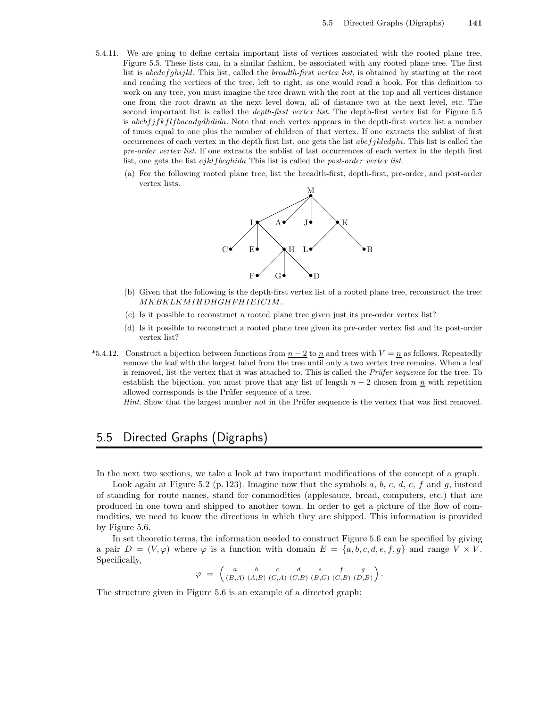- 5.4.11. We are going to define certain important lists of vertices associated with the rooted plane tree, Figure 5.5. These lists can, in a similar fashion, be associated with any rooted plane tree. The first list is abcdefghijkl. This list, called the breadth-first vertex list, is obtained by starting at the root and reading the vertices of the tree, left to right, as one would read a book. For this definition to work on any tree, you must imagine the tree drawn with the root at the top and all vertices distance one from the root drawn at the next level down, all of distance two at the next level, etc. The second important list is called the *depth-first vertex list*. The depth-first vertex list for Figure 5.5 is abebfjfkflfbacadgdhdida. Note that each vertex appears in the depth-first vertex list a number of times equal to one plus the number of children of that vertex. If one extracts the sublist of first occurrences of each vertex in the depth first list, one gets the list  $abefjklcdghi$ . This list is called the pre-order vertex list. If one extracts the sublist of last occurrences of each vertex in the depth first list, one gets the list ejklfbcghida This list is called the post-order vertex list.
	- (a) For the following rooted plane tree, list the breadth-first, depth-first, pre-order, and post-order vertex lists.



- (b) Given that the following is the depth-first vertex list of a rooted plane tree, reconstruct the tree: MKBKLKMIHDHGHF HIEICIM.
- (c) Is it possible to reconstruct a rooted plane tree given just its pre-order vertex list?
- (d) Is it possible to reconstruct a rooted plane tree given its pre-order vertex list and its post-order vertex list?
- \*5.4.12. Construct a bijection between functions from  $n-2$  to  $n$  and trees with  $V = n$  as follows. Repeatedly remove the leaf with the largest label from the tree until only a two vertex tree remains. When a leaf is removed, list the vertex that it was attached to. This is called the *Prüfer sequence* for the tree. To establish the bijection, you must prove that any list of length  $n-2$  chosen from  $\underline{n}$  with repetition allowed corresponds is the Prüfer sequence of a tree.

Hint. Show that the largest number not in the Prüfer sequence is the vertex that was first removed.

## 5.5 Directed Graphs (Digraphs)

In the next two sections, we take a look at two important modifications of the concept of a graph.

Look again at Figure 5.2 (p. 123). Imagine now that the symbols  $a, b, c, d, e, f$  and  $g$ , instead of standing for route names, stand for commodities (applesauce, bread, computers, etc.) that are produced in one town and shipped to another town. In order to get a picture of the flow of commodities, we need to know the directions in which they are shipped. This information is provided by Figure 5.6.

In set theoretic terms, the information needed to construct Figure 5.6 can be specified by giving a pair  $D = (V, \varphi)$  where  $\varphi$  is a function with domain  $E = \{a, b, c, d, e, f, g\}$  and range  $V \times V$ . Specifically,

$$
\varphi \ = \ \left( \begin{array}{ccc} a & b & c & d & e & f & g \\ (B, A) & (A, B) & (C, A) & (C, B) & (B, C) & (C, B) & (D, B) \end{array} \right).
$$

The structure given in Figure 5.6 is an example of a directed graph: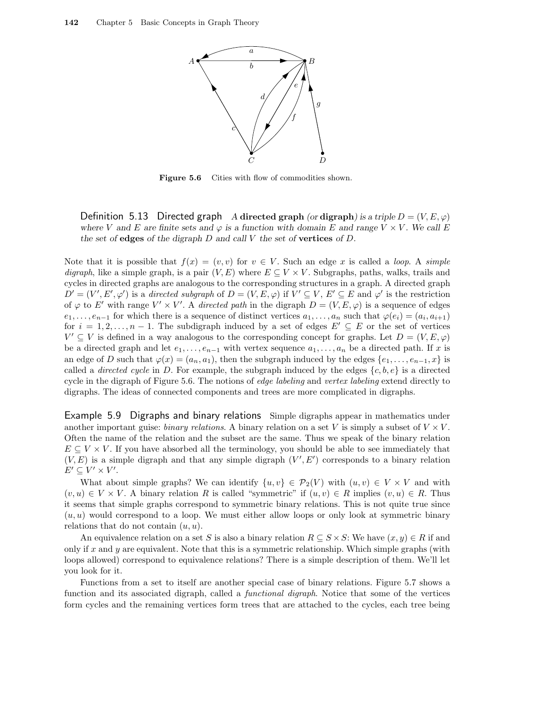

Figure 5.6 Cities with flow of commodities shown.

Definition 5.13 Directed graph A directed graph (or digraph) is a triple  $D = (V, E, \varphi)$ where V and E are finite sets and  $\varphi$  is a function with domain E and range V  $\times$  V. We call E the set of **edges** of the digraph  $D$  and call  $V$  the set of **vertices** of  $D$ .

Note that it is possible that  $f(x) = (v, v)$  for  $v \in V$ . Such an edge x is called a *loop*. A simple digraph, like a simple graph, is a pair  $(V, E)$  where  $E \subseteq V \times V$ . Subgraphs, paths, walks, trails and cycles in directed graphs are analogous to the corresponding structures in a graph. A directed graph  $D' = (V', E', \varphi')$  is a directed subgraph of  $D = (V, E, \varphi)$  if  $V' \subseteq V$ ,  $E' \subseteq E$  and  $\varphi'$  is the restriction of  $\varphi$  to E' with range  $V' \times V'$ . A directed path in the digraph  $D = (V, E, \varphi)$  is a sequence of edges  $e_1, \ldots, e_{n-1}$  for which there is a sequence of distinct vertices  $a_1, \ldots, a_n$  such that  $\varphi(e_i) = (a_i, a_{i+1})$ for  $i = 1, 2, \ldots, n - 1$ . The subdigraph induced by a set of edges  $E' \subseteq E$  or the set of vertices  $V' \subseteq V$  is defined in a way analogous to the corresponding concept for graphs. Let  $D = (V, E, \varphi)$ be a directed graph and let  $e_1, \ldots, e_{n-1}$  with vertex sequence  $a_1, \ldots, a_n$  be a directed path. If x is an edge of D such that  $\varphi(x) = (a_n, a_1)$ , then the subgraph induced by the edges  $\{e_1, \ldots, e_{n-1}, x\}$  is called a *directed cycle* in D. For example, the subgraph induced by the edges  $\{c, b, e\}$  is a directed cycle in the digraph of Figure 5.6. The notions of edge labeling and vertex labeling extend directly to digraphs. The ideas of connected components and trees are more complicated in digraphs.

Example 5.9 Digraphs and binary relations Simple digraphs appear in mathematics under another important guise: binary relations. A binary relation on a set V is simply a subset of  $V \times V$ . Often the name of the relation and the subset are the same. Thus we speak of the binary relation  $E \subseteq V \times V$ . If you have absorbed all the terminology, you should be able to see immediately that  $(V, E)$  is a simple digraph and that any simple digraph  $(V', E')$  corresponds to a binary relation  $E' \subseteq V' \times V'.$ 

What about simple graphs? We can identify  $\{u, v\} \in \mathcal{P}_2(V)$  with  $(u, v) \in V \times V$  and with  $(v, u) \in V \times V$ . A binary relation R is called "symmetric" if  $(u, v) \in R$  implies  $(v, u) \in R$ . Thus it seems that simple graphs correspond to symmetric binary relations. This is not quite true since  $(u, u)$  would correspond to a loop. We must either allow loops or only look at symmetric binary relations that do not contain  $(u, u)$ .

An equivalence relation on a set S is also a binary relation  $R \subseteq S \times S$ : We have  $(x, y) \in R$  if and only if x and y are equivalent. Note that this is a symmetric relationship. Which simple graphs (with loops allowed) correspond to equivalence relations? There is a simple description of them. We'll let you look for it.

Functions from a set to itself are another special case of binary relations. Figure 5.7 shows a function and its associated digraph, called a *functional digraph*. Notice that some of the vertices form cycles and the remaining vertices form trees that are attached to the cycles, each tree being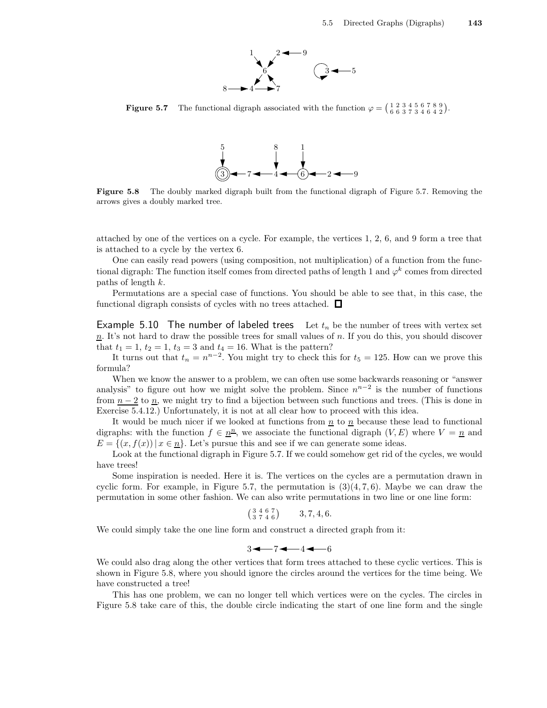

**Figure 5.7** The functional digraph associated with the function  $\varphi = \begin{pmatrix} 1 & 2 & 3 & 4 & 5 & 6 & 7 & 8 & 9 \\ 6 & 6 & 3 & 7 & 3 & 4 & 6 & 4 & 2 \end{pmatrix}$ .



Figure 5.8 The doubly marked digraph built from the functional digraph of Figure 5.7. Removing the arrows gives a doubly marked tree.

attached by one of the vertices on a cycle. For example, the vertices 1, 2, 6, and 9 form a tree that is attached to a cycle by the vertex 6.

One can easily read powers (using composition, not multiplication) of a function from the functional digraph: The function itself comes from directed paths of length 1 and  $\varphi^k$  comes from directed paths of length  $k$ .

Permutations are a special case of functions. You should be able to see that, in this case, the functional digraph consists of cycles with no trees attached.  $\Box$ 

Example 5.10 The number of labeled trees Let  $t_n$  be the number of trees with vertex set  $n<sub>n</sub>$ . It's not hard to draw the possible trees for small values of n. If you do this, you should discover that  $t_1 = 1, t_2 = 1, t_3 = 3$  and  $t_4 = 16$ . What is the pattern?

It turns out that  $t_n = n^{n-2}$ . You might try to check this for  $t_5 = 125$ . How can we prove this formula?

When we know the answer to a problem, we can often use some backwards reasoning or "answer analysis" to figure out how we might solve the problem. Since  $n^{n-2}$  is the number of functions from  $n-2$  to  $n$ , we might try to find a bijection between such functions and trees. (This is done in Exercise 5.4.12.) Unfortunately, it is not at all clear how to proceed with this idea.

It would be much nicer if we looked at functions from  $n \times n$  because these lead to functional digraphs: with the function  $f \in \underline{n}^n$ , we associate the functional digraph  $(V, E)$  where  $V = \underline{n}$  and  $E = \{(x, f(x)) | x \in \underline{n}\}\.$  Let's pursue this and see if we can generate some ideas.

Look at the functional digraph in Figure 5.7. If we could somehow get rid of the cycles, we would have trees!

Some inspiration is needed. Here it is. The vertices on the cycles are a permutation drawn in cyclic form. For example, in Figure 5.7, the permutation is  $(3)(4, 7, 6)$ . Maybe we can draw the permutation in some other fashion. We can also write permutations in two line or one line form:

$$
\left(\begin{array}{ccc} 3 & 4 & 6 & 7 \\ 3 & 7 & 4 & 6 \end{array}\right) \qquad 3, 7, 4, 6.
$$

We could simply take the one line form and construct a directed graph from it:

$$
3 \blacktriangleleft - 7 \blacktriangleleft - 4 \blacktriangleleft - 6
$$

We could also drag along the other vertices that form trees attached to these cyclic vertices. This is shown in Figure 5.8, where you should ignore the circles around the vertices for the time being. We have constructed a tree!

This has one problem, we can no longer tell which vertices were on the cycles. The circles in Figure 5.8 take care of this, the double circle indicating the start of one line form and the single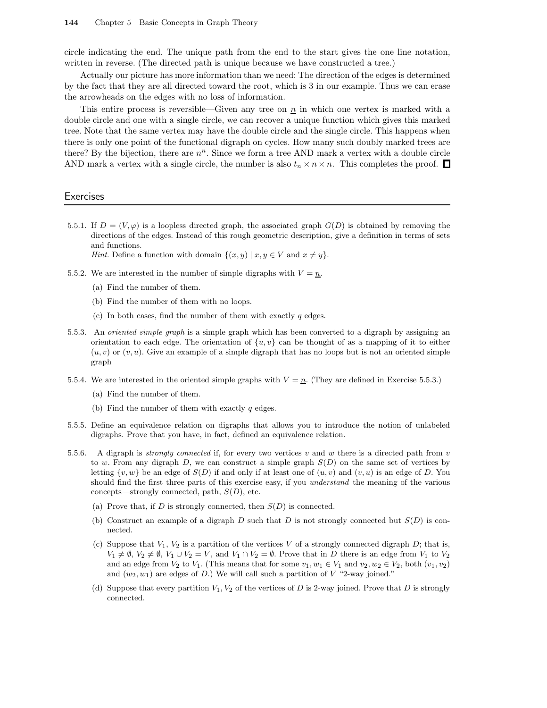circle indicating the end. The unique path from the end to the start gives the one line notation, written in reverse. (The directed path is unique because we have constructed a tree.)

Actually our picture has more information than we need: The direction of the edges is determined by the fact that they are all directed toward the root, which is 3 in our example. Thus we can erase the arrowheads on the edges with no loss of information.

This entire process is reversible—Given any tree on  $\underline{n}$  in which one vertex is marked with a double circle and one with a single circle, we can recover a unique function which gives this marked tree. Note that the same vertex may have the double circle and the single circle. This happens when there is only one point of the functional digraph on cycles. How many such doubly marked trees are there? By the bijection, there are  $n^n$ . Since we form a tree AND mark a vertex with a double circle AND mark a vertex with a single circle, the number is also  $t_n \times n \times n$ . This completes the proof.  $\Box$ 

#### **Exercises**

5.5.1. If  $D = (V, \varphi)$  is a loopless directed graph, the associated graph  $G(D)$  is obtained by removing the directions of the edges. Instead of this rough geometric description, give a definition in terms of sets and functions.

*Hint*. Define a function with domain  $\{(x, y) | x, y \in V \text{ and } x \neq y\}.$ 

- 5.5.2. We are interested in the number of simple digraphs with  $V = n$ .
	- (a) Find the number of them.
	- (b) Find the number of them with no loops.
	- (c) In both cases, find the number of them with exactly  $q$  edges.
- 5.5.3. An oriented simple graph is a simple graph which has been converted to a digraph by assigning an orientation to each edge. The orientation of  $\{u, v\}$  can be thought of as a mapping of it to either  $(u, v)$  or  $(v, u)$ . Give an example of a simple digraph that has no loops but is not an oriented simple graph
- 5.5.4. We are interested in the oriented simple graphs with  $V = n$ . (They are defined in Exercise 5.5.3.)
	- (a) Find the number of them.
	- (b) Find the number of them with exactly  $q$  edges.
- 5.5.5. Define an equivalence relation on digraphs that allows you to introduce the notion of unlabeled digraphs. Prove that you have, in fact, defined an equivalence relation.
- 5.5.6. A digraph is *strongly connected* if, for every two vertices v and w there is a directed path from v to w. From any digraph  $D$ , we can construct a simple graph  $S(D)$  on the same set of vertices by letting  $\{v, w\}$  be an edge of  $S(D)$  if and only if at least one of  $(u, v)$  and  $(v, u)$  is an edge of D. You should find the first three parts of this exercise easy, if you understand the meaning of the various concepts—strongly connected, path,  $S(D)$ , etc.
	- (a) Prove that, if  $D$  is strongly connected, then  $S(D)$  is connected.
	- (b) Construct an example of a digraph D such that D is not strongly connected but  $S(D)$  is connected.
	- (c) Suppose that  $V_1$ ,  $V_2$  is a partition of the vertices V of a strongly connected digraph D; that is,  $V_1 \neq \emptyset$ ,  $V_2 \neq \emptyset$ ,  $V_1 \cup V_2 = V$ , and  $V_1 \cap V_2 = \emptyset$ . Prove that in D there is an edge from  $V_1$  to  $V_2$ and an edge from  $V_2$  to  $V_1$ . (This means that for some  $v_1, w_1 \in V_1$  and  $v_2, w_2 \in V_2$ , both  $(v_1, v_2)$ and  $(w_2, w_1)$  are edges of D.) We will call such a partition of V "2-way joined."
	- (d) Suppose that every partition  $V_1$ ,  $V_2$  of the vertices of D is 2-way joined. Prove that D is strongly connected.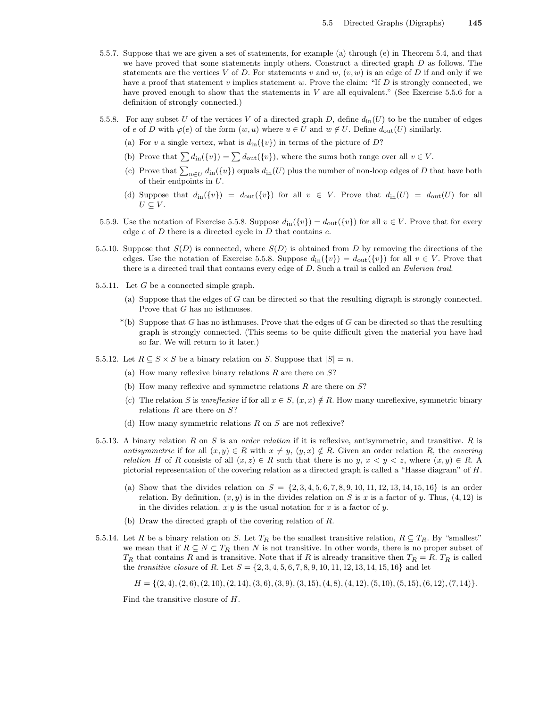- 5.5.7. Suppose that we are given a set of statements, for example (a) through (e) in Theorem 5.4, and that we have proved that some statements imply others. Construct a directed graph  $D$  as follows. The statements are the vertices V of D. For statements v and w,  $(v, w)$  is an edge of D if and only if we have a proof that statement v implies statement w. Prove the claim: "If  $D$  is strongly connected, we have proved enough to show that the statements in  $V$  are all equivalent." (See Exercise 5.5.6 for a definition of strongly connected.)
- 5.5.8. For any subset U of the vertices V of a directed graph D, define  $d_{\text{in}}(U)$  to be the number of edges of e of D with  $\varphi(e)$  of the form  $(w, u)$  where  $u \in U$  and  $w \notin U$ . Define  $d_{\text{out}}(U)$  similarly.
	- (a) For v a single vertex, what is  $d_{\text{in}}(\{v\})$  in terms of the picture of D?
	- (b) Prove that  $\sum d_{\text{in}}(\{v\}) = \sum d_{\text{out}}(\{v\})$ , where the sums both range over all  $v \in V$ .
	- (c) Prove that  $\sum_{u\in U} d_{\text{in}}(\{u\})$  equals  $d_{\text{in}}(U)$  plus the number of non-loop edges of D that have both of their endpoints in U.
	- (d) Suppose that  $d_{\text{in}}(\{v\}) = d_{\text{out}}(\{v\})$  for all  $v \in V$ . Prove that  $d_{\text{in}}(U) = d_{\text{out}}(U)$  for all  $U \subseteq V$ .
- 5.5.9. Use the notation of Exercise 5.5.8. Suppose  $d_{\text{in}}(\{v\}) = d_{\text{out}}(\{v\})$  for all  $v \in V$ . Prove that for every edge  $e$  of  $D$  there is a directed cycle in  $D$  that contains  $e$ .
- 5.5.10. Suppose that  $S(D)$  is connected, where  $S(D)$  is obtained from D by removing the directions of the edges. Use the notation of Exercise 5.5.8. Suppose  $d_{\text{in}}(\{v\}) = d_{\text{out}}(\{v\})$  for all  $v \in V$ . Prove that there is a directed trail that contains every edge of D. Such a trail is called an Eulerian trail.
- 5.5.11. Let G be a connected simple graph.
	- (a) Suppose that the edges of G can be directed so that the resulting digraph is strongly connected. Prove that G has no isthmuses.
	- $*(b)$  Suppose that G has no isthmuses. Prove that the edges of G can be directed so that the resulting graph is strongly connected. (This seems to be quite difficult given the material you have had so far. We will return to it later.)
- 5.5.12. Let  $R \subseteq S \times S$  be a binary relation on S. Suppose that  $|S| = n$ .
	- (a) How many reflexive binary relations  $R$  are there on  $S$ ?
	- (b) How many reflexive and symmetric relations  $R$  are there on  $S$ ?
	- (c) The relation S is unreflexive if for all  $x \in S$ ,  $(x, x) \notin R$ . How many unreflexive, symmetric binary relations  $R$  are there on  $S$ ?
	- (d) How many symmetric relations  $R$  on  $S$  are not reflexive?
- 5.5.13. A binary relation  $R$  on  $S$  is an order relation if it is reflexive, antisymmetric, and transitive.  $R$  is antisymmetric if for all  $(x, y) \in R$  with  $x \neq y$ ,  $(y, x) \notin R$ . Given an order relation R, the covering relation H of R consists of all  $(x, z) \in R$  such that there is no y,  $x \le y \le z$ , where  $(x, y) \in R$ . pictorial representation of the covering relation as a directed graph is called a "Hasse diagram" of H.
	- (a) Show that the divides relation on  $S = \{2, 3, 4, 5, 6, 7, 8, 9, 10, 11, 12, 13, 14, 15, 16\}$  is an order relation. By definition,  $(x, y)$  is in the divides relation on S is x is a factor of y. Thus,  $(4, 12)$  is in the divides relation.  $x|y$  is the usual notation for x is a factor of y.
	- (b) Draw the directed graph of the covering relation of R.
- 5.5.14. Let R be a binary relation on S. Let  $T_R$  be the smallest transitive relation,  $R \subseteq T_R$ . By "smallest" we mean that if  $R \subseteq N \subset T_R$  then N is not transitive. In other words, there is no proper subset of  $T_R$  that contains R and is transitive. Note that if R is already transitive then  $T_R = R$ .  $T_R$  is called the transitive closure of R. Let  $S = \{2, 3, 4, 5, 6, 7, 8, 9, 10, 11, 12, 13, 14, 15, 16\}$  and let

$$
H = \{(2,4), (2,6), (2,10), (2,14), (3,6), (3,9), (3,15), (4,8), (4,12), (5,10), (5,15), (6,12), (7,14)\}.
$$

Find the transitive closure of H.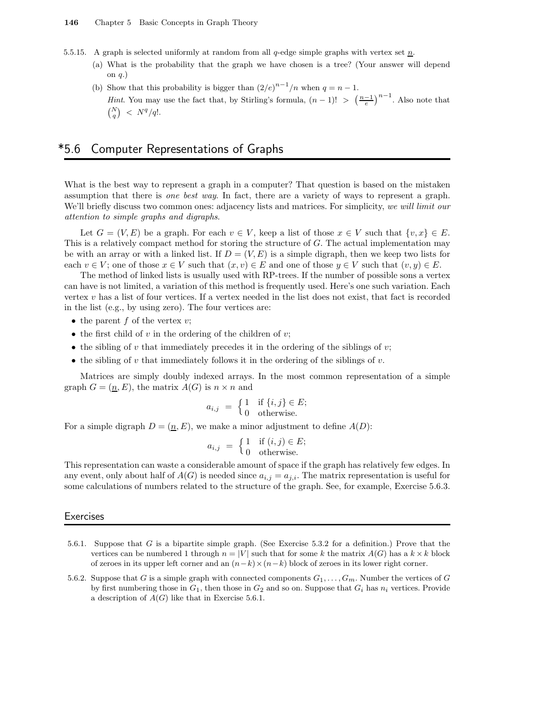- 5.5.15. A graph is selected uniformly at random from all q-edge simple graphs with vertex set  $\underline{n}$ .
	- (a) What is the probability that the graph we have chosen is a tree? (Your answer will depend on  $q$ .)
	- (b) Show that this probability is bigger than  $(2/e)^{n-1}/n$  when  $q = n 1$ . *Hint.* You may use the fact that, by Stirling's formula,  $(n-1)!$  >  $\left(\frac{n-1}{e}\right)^{n-1}$ . Also note that  $\binom{N}{q}$  <  $N^q/q!$ .

## \*5.6 Computer Representations of Graphs

What is the best way to represent a graph in a computer? That question is based on the mistaken assumption that there is one best way. In fact, there are a variety of ways to represent a graph. We'll briefly discuss two common ones: adjacency lists and matrices. For simplicity, we will limit our attention to simple graphs and digraphs.

Let  $G = (V, E)$  be a graph. For each  $v \in V$ , keep a list of those  $x \in V$  such that  $\{v, x\} \in E$ . This is a relatively compact method for storing the structure of  $G$ . The actual implementation may be with an array or with a linked list. If  $D = (V, E)$  is a simple digraph, then we keep two lists for each  $v \in V$ ; one of those  $x \in V$  such that  $(x, v) \in E$  and one of those  $y \in V$  such that  $(v, y) \in E$ .

The method of linked lists is usually used with RP-trees. If the number of possible sons a vertex can have is not limited, a variation of this method is frequently used. Here's one such variation. Each vertex  $v$  has a list of four vertices. If a vertex needed in the list does not exist, that fact is recorded in the list (e.g., by using zero). The four vertices are:

- the parent  $f$  of the vertex  $v$ ;
- the first child of  $v$  in the ordering of the children of  $v$ ;
- the sibling of v that immediately precedes it in the ordering of the siblings of v;
- the sibling of v that immediately follows it in the ordering of the siblings of v.

Matrices are simply doubly indexed arrays. In the most common representation of a simple graph  $G = (n, E)$ , the matrix  $A(G)$  is  $n \times n$  and

$$
a_{i,j} = \begin{cases} 1 & \text{if } \{i,j\} \in E; \\ 0 & \text{otherwise.} \end{cases}
$$

For a simple digraph  $D = (n, E)$ , we make a minor adjustment to define  $A(D)$ :

$$
a_{i,j} = \begin{cases} 1 & \text{if } (i,j) \in E; \\ 0 & \text{otherwise.} \end{cases}
$$

This representation can waste a considerable amount of space if the graph has relatively few edges. In any event, only about half of  $A(G)$  is needed since  $a_{i,j} = a_{j,i}$ . The matrix representation is useful for some calculations of numbers related to the structure of the graph. See, for example, Exercise 5.6.3.

#### **Exercises**

- 5.6.1. Suppose that G is a bipartite simple graph. (See Exercise 5.3.2 for a definition.) Prove that the vertices can be numbered 1 through  $n = |V|$  such that for some k the matrix  $A(G)$  has a  $k \times k$  block of zeroes in its upper left corner and an  $(n-k)\times(n-k)$  block of zeroes in its lower right corner.
- 5.6.2. Suppose that G is a simple graph with connected components  $G_1, \ldots, G_m$ . Number the vertices of G by first numbering those in  $G_1$ , then those in  $G_2$  and so on. Suppose that  $G_i$  has  $n_i$  vertices. Provide a description of  $A(G)$  like that in Exercise 5.6.1.